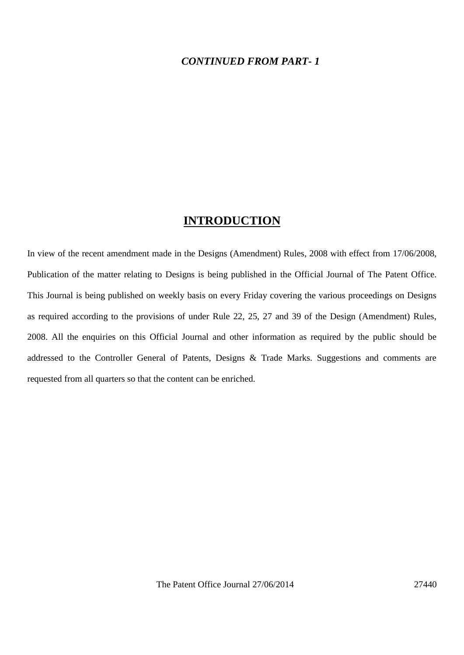### *CONTINUED FROM PART- 1*

## **INTRODUCTION**

In view of the recent amendment made in the Designs (Amendment) Rules, 2008 with effect from 17/06/2008, Publication of the matter relating to Designs is being published in the Official Journal of The Patent Office. This Journal is being published on weekly basis on every Friday covering the various proceedings on Designs as required according to the provisions of under Rule 22, 25, 27 and 39 of the Design (Amendment) Rules, 2008. All the enquiries on this Official Journal and other information as required by the public should be addressed to the Controller General of Patents, Designs & Trade Marks. Suggestions and comments are requested from all quarters so that the content can be enriched.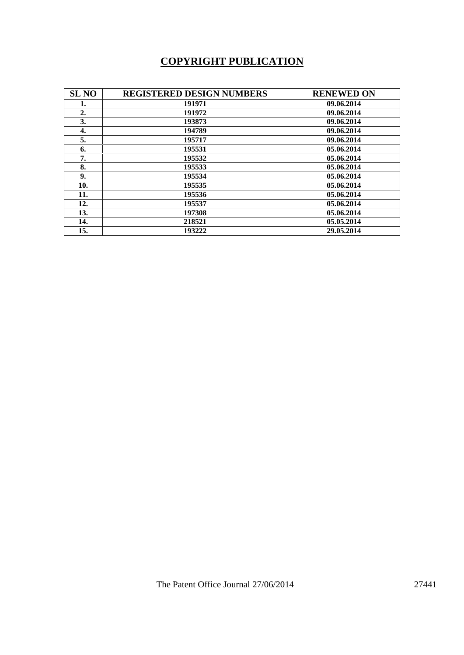# **COPYRIGHT PUBLICATION**

| <b>SL NO</b>     | <b>REGISTERED DESIGN NUMBERS</b> | <b>RENEWED ON</b> |
|------------------|----------------------------------|-------------------|
| 1.               | 191971                           | 09.06.2014        |
| $\overline{2}$ . | 191972                           | 09.06.2014        |
| 3.               | 193873                           | 09.06.2014        |
| 4.               | 194789                           | 09.06.2014        |
| 5.               | 195717                           | 09.06.2014        |
| 6.               | 195531                           | 05.06.2014        |
| 7.               | 195532                           | 05.06.2014        |
| 8.               | 195533                           | 05.06.2014        |
| 9.               | 195534                           | 05.06.2014        |
| 10.              | 195535                           | 05.06.2014        |
| 11.              | 195536                           | 05.06.2014        |
| 12.              | 195537                           | 05.06.2014        |
| 13.              | 197308                           | 05.06.2014        |
| 14.              | 218521                           | 05.05.2014        |
| 15.              | 193222                           | 29.05.2014        |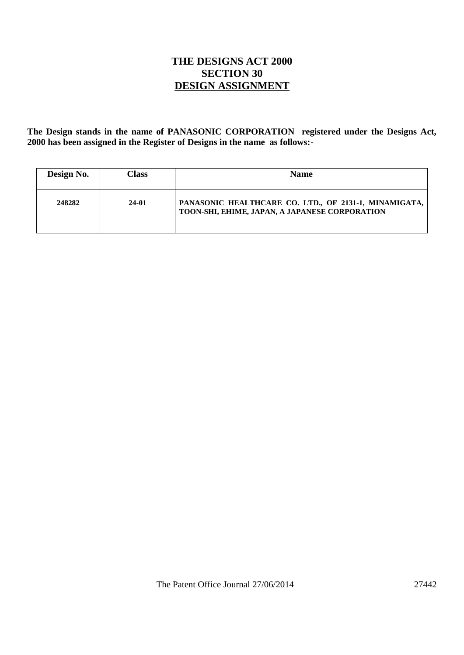## **THE DESIGNS ACT 2000 SECTION 30 DESIGN ASSIGNMENT**

**The Design stands in the name of PANASONIC CORPORATION registered under the Designs Act, 2000 has been assigned in the Register of Designs in the name as follows:-**

| Design No. | Class | <b>Name</b>                                                                                             |
|------------|-------|---------------------------------------------------------------------------------------------------------|
| 248282     | 24-01 | PANASONIC HEALTHCARE CO. LTD., OF 2131-1, MINAMIGATA,<br>TOON-SHI, EHIME, JAPAN, A JAPANESE CORPORATION |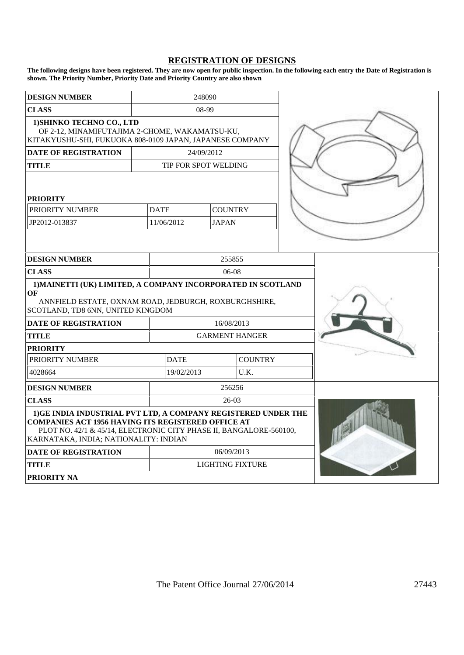#### **REGISTRATION OF DESIGNS**

**The following designs have been registered. They are now open for public inspection. In the following each entry the Date of Registration is shown. The Priority Number, Priority Date and Priority Country are also shown**

| <b>DESIGN NUMBER</b>                                                                                                                                                                                                                      | 248090      |                               |                |  |  |  |
|-------------------------------------------------------------------------------------------------------------------------------------------------------------------------------------------------------------------------------------------|-------------|-------------------------------|----------------|--|--|--|
| <b>CLASS</b>                                                                                                                                                                                                                              | 08-99       |                               |                |  |  |  |
| 1) SHINKO TECHNO CO., LTD<br>OF 2-12, MINAMIFUTAJIMA 2-CHOME, WAKAMATSU-KU,<br>KITAKYUSHU-SHI, FUKUOKA 808-0109 JAPAN, JAPANESE COMPANY                                                                                                   |             |                               |                |  |  |  |
| <b>DATE OF REGISTRATION</b>                                                                                                                                                                                                               |             |                               | 24/09/2012     |  |  |  |
| <b>TITLE</b>                                                                                                                                                                                                                              |             | TIP FOR SPOT WELDING          |                |  |  |  |
| <b>PRIORITY</b>                                                                                                                                                                                                                           |             |                               |                |  |  |  |
| PRIORITY NUMBER                                                                                                                                                                                                                           | <b>DATE</b> |                               | <b>COUNTRY</b> |  |  |  |
| JP2012-013837                                                                                                                                                                                                                             |             | 11/06/2012                    | <b>JAPAN</b>   |  |  |  |
|                                                                                                                                                                                                                                           |             |                               |                |  |  |  |
| <b>DESIGN NUMBER</b>                                                                                                                                                                                                                      |             | 255855                        |                |  |  |  |
| <b>CLASS</b>                                                                                                                                                                                                                              |             | 06-08                         |                |  |  |  |
| 1) MAINETTI (UK) LIMITED, A COMPANY INCORPORATED IN SCOTLAND<br>OF<br>ANNFIELD ESTATE, OXNAM ROAD, JEDBURGH, ROXBURGHSHIRE,<br>SCOTLAND, TD8 6NN, UNITED KINGDOM                                                                          |             |                               |                |  |  |  |
| <b>DATE OF REGISTRATION</b>                                                                                                                                                                                                               |             | 16/08/2013                    |                |  |  |  |
| <b>TITLE</b>                                                                                                                                                                                                                              |             | <b>GARMENT HANGER</b>         |                |  |  |  |
| <b>PRIORITY</b>                                                                                                                                                                                                                           |             |                               |                |  |  |  |
| PRIORITY NUMBER                                                                                                                                                                                                                           |             | <b>DATE</b><br><b>COUNTRY</b> |                |  |  |  |
| 4028664                                                                                                                                                                                                                                   |             | U.K.<br>19/02/2013            |                |  |  |  |
| <b>DESIGN NUMBER</b>                                                                                                                                                                                                                      |             | 256256                        |                |  |  |  |
| <b>CLASS</b>                                                                                                                                                                                                                              |             | 26-03                         |                |  |  |  |
| 1)GE INDIA INDUSTRIAL PVT LTD, A COMPANY REGISTERED UNDER THE<br><b>COMPANIES ACT 1956 HAVING ITS REGISTERED OFFICE AT</b><br>PLOT NO. 42/1 & 45/14, ELECTRONIC CITY PHASE II, BANGALORE-560100,<br>KARNATAKA, INDIA; NATIONALITY: INDIAN |             |                               |                |  |  |  |
| <b>DATE OF REGISTRATION</b>                                                                                                                                                                                                               |             | 06/09/2013                    |                |  |  |  |
| <b>TITLE</b>                                                                                                                                                                                                                              |             | <b>LIGHTING FIXTURE</b>       |                |  |  |  |
| <b>PRIORITY NA</b>                                                                                                                                                                                                                        |             |                               |                |  |  |  |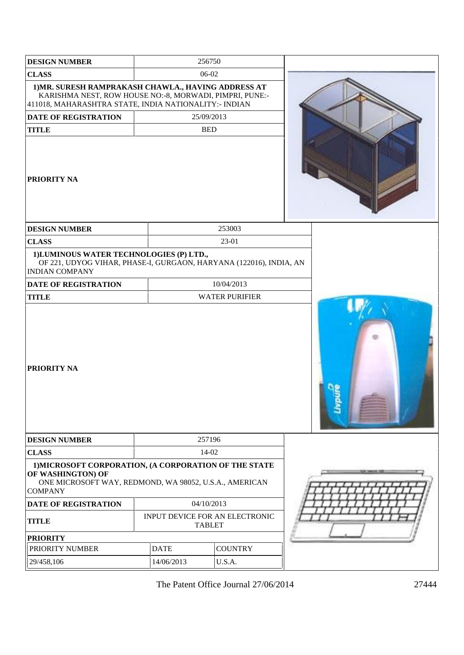| <b>DESIGN NUMBER</b>                                                                                                                                                           |             | 256750                                          |  |
|--------------------------------------------------------------------------------------------------------------------------------------------------------------------------------|-------------|-------------------------------------------------|--|
| <b>CLASS</b>                                                                                                                                                                   |             | 06-02                                           |  |
| 1) MR. SURESH RAMPRAKASH CHAWLA., HAVING ADDRESS AT<br>KARISHMA NEST, ROW HOUSE NO:-8, MORWADI, PIMPRI, PUNE:-<br>411018, MAHARASHTRA STATE, INDIA NATIONALITY: - INDIAN       |             |                                                 |  |
| <b>DATE OF REGISTRATION</b>                                                                                                                                                    |             | 25/09/2013                                      |  |
| <b>TITLE</b>                                                                                                                                                                   |             | <b>BED</b>                                      |  |
| PRIORITY NA                                                                                                                                                                    |             |                                                 |  |
| <b>DESIGN NUMBER</b>                                                                                                                                                           |             | 253003                                          |  |
| <b>CLASS</b>                                                                                                                                                                   |             | 23-01                                           |  |
| 1) LUMINOUS WATER TECHNOLOGIES (P) LTD.,<br>OF 221, UDYOG VIHAR, PHASE-I, GURGAON, HARYANA (122016), INDIA, AN<br><b>INDIAN COMPANY</b>                                        |             |                                                 |  |
| <b>DATE OF REGISTRATION</b>                                                                                                                                                    |             | 10/04/2013                                      |  |
| <b>TITLE</b>                                                                                                                                                                   |             | <b>WATER PURIFIER</b>                           |  |
| <b>PRIORITY NA</b>                                                                                                                                                             |             |                                                 |  |
| <b>DESIGN NUMBER</b>                                                                                                                                                           |             | 257196                                          |  |
| <b>CLASS</b>                                                                                                                                                                   |             | 14-02                                           |  |
| 1) MICROSOFT CORPORATION, (A CORPORATION OF THE STATE<br>OF WASHINGTON) OF<br>ONE MICROSOFT WAY, REDMOND, WA 98052, U.S.A., AMERICAN<br><b>COMPANY</b><br>DATE OF REGISTRATION |             | 04/10/2013                                      |  |
| <b>TITLE</b>                                                                                                                                                                   |             | INPUT DEVICE FOR AN ELECTRONIC<br><b>TABLET</b> |  |
| <b>PRIORITY</b>                                                                                                                                                                |             |                                                 |  |
| PRIORITY NUMBER                                                                                                                                                                | <b>DATE</b> | <b>COUNTRY</b>                                  |  |
| 29/458,106                                                                                                                                                                     | 14/06/2013  | U.S.A.                                          |  |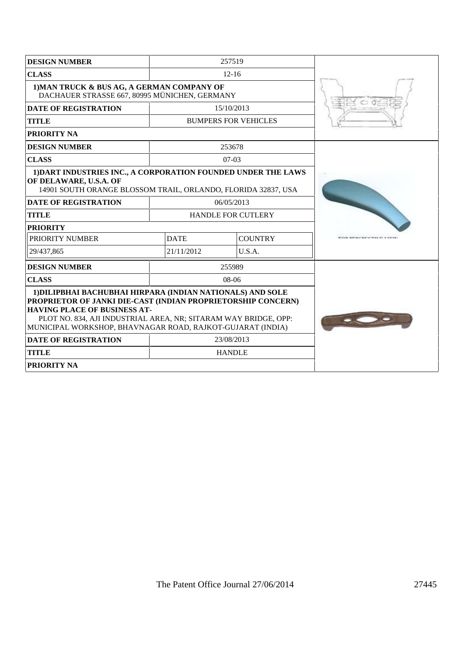| <b>DESIGN NUMBER</b><br>257519                                                                                                                                                                                                       |               |                             |                                 |  |  |  |
|--------------------------------------------------------------------------------------------------------------------------------------------------------------------------------------------------------------------------------------|---------------|-----------------------------|---------------------------------|--|--|--|
| <b>CLASS</b>                                                                                                                                                                                                                         |               | $12 - 16$                   |                                 |  |  |  |
| 1) MAN TRUCK & BUS AG, A GERMAN COMPANY OF<br>DACHAUER STRASSE 667, 80995 MÜNICHEN, GERMANY                                                                                                                                          |               |                             |                                 |  |  |  |
| <b>DATE OF REGISTRATION</b>                                                                                                                                                                                                          |               | 15/10/2013                  |                                 |  |  |  |
| <b>TITLE</b>                                                                                                                                                                                                                         |               | <b>BUMPERS FOR VEHICLES</b> |                                 |  |  |  |
| <b>PRIORITY NA</b>                                                                                                                                                                                                                   |               |                             |                                 |  |  |  |
| <b>DESIGN NUMBER</b>                                                                                                                                                                                                                 |               | 253678                      |                                 |  |  |  |
| <b>CLASS</b>                                                                                                                                                                                                                         |               | $07-03$                     |                                 |  |  |  |
| 1) DART INDUSTRIES INC., A CORPORATION FOUNDED UNDER THE LAWS<br>OF DELAWARE, U.S.A. OF<br>14901 SOUTH ORANGE BLOSSOM TRAIL, ORLANDO, FLORIDA 32837, USA                                                                             |               |                             |                                 |  |  |  |
| <b>DATE OF REGISTRATION</b>                                                                                                                                                                                                          |               | 06/05/2013                  |                                 |  |  |  |
| <b>TITLE</b>                                                                                                                                                                                                                         |               | <b>HANDLE FOR CUTLERY</b>   |                                 |  |  |  |
| <b>PRIORITY</b>                                                                                                                                                                                                                      |               |                             |                                 |  |  |  |
| <b>PRIORITY NUMBER</b>                                                                                                                                                                                                               | <b>DATE</b>   | <b>COUNTRY</b>              | WAS DRIVING DRIVING TO A COUNTY |  |  |  |
| 29/437,865                                                                                                                                                                                                                           | 21/11/2012    | U.S.A.                      |                                 |  |  |  |
| <b>DESIGN NUMBER</b>                                                                                                                                                                                                                 |               | 255989                      |                                 |  |  |  |
| <b>CLASS</b>                                                                                                                                                                                                                         |               | $08-06$                     |                                 |  |  |  |
| 1) DILIPBHAI BACHUBHAI HIRPARA (INDIAN NATIONALS) AND SOLE<br>PROPRIETOR OF JANKI DIE-CAST (INDIAN PROPRIETORSHIP CONCERN)<br><b>HAVING PLACE OF BUSINESS AT-</b><br>PLOT NO. 834, AJI INDUSTRIAL AREA, NR; SITARAM WAY BRIDGE, OPP: |               |                             |                                 |  |  |  |
| MUNICIPAL WORKSHOP, BHAVNAGAR ROAD, RAJKOT-GUJARAT (INDIA)                                                                                                                                                                           |               |                             |                                 |  |  |  |
| <b>DATE OF REGISTRATION</b>                                                                                                                                                                                                          | 23/08/2013    |                             |                                 |  |  |  |
| <b>TITLE</b>                                                                                                                                                                                                                         | <b>HANDLE</b> |                             |                                 |  |  |  |
| <b>PRIORITY NA</b>                                                                                                                                                                                                                   |               |                             |                                 |  |  |  |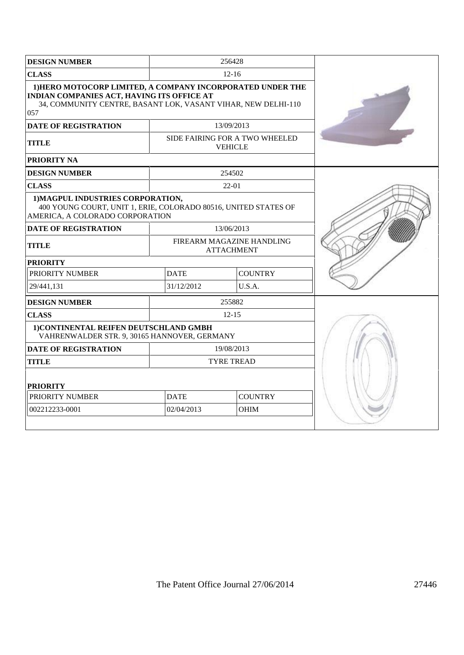| <b>DESIGN NUMBER</b>                                                                                                                                                             | 256428                        |                                                  |  |
|----------------------------------------------------------------------------------------------------------------------------------------------------------------------------------|-------------------------------|--------------------------------------------------|--|
| <b>CLASS</b>                                                                                                                                                                     |                               | $12 - 16$                                        |  |
| 1) HERO MOTOCORP LIMITED, A COMPANY INCORPORATED UNDER THE<br>INDIAN COMPANIES ACT, HAVING ITS OFFICE AT<br>34, COMMUNITY CENTRE, BASANT LOK, VASANT VIHAR, NEW DELHI-110<br>057 |                               |                                                  |  |
| <b>DATE OF REGISTRATION</b>                                                                                                                                                      |                               | 13/09/2013                                       |  |
| <b>TITLE</b>                                                                                                                                                                     |                               | SIDE FAIRING FOR A TWO WHEELED<br><b>VEHICLE</b> |  |
| PRIORITY NA                                                                                                                                                                      |                               |                                                  |  |
| <b>DESIGN NUMBER</b>                                                                                                                                                             |                               | 254502                                           |  |
| <b>CLASS</b>                                                                                                                                                                     |                               | 22-01                                            |  |
| 1) MAGPUL INDUSTRIES CORPORATION,<br>400 YOUNG COURT, UNIT 1, ERIE, COLORADO 80516, UNITED STATES OF<br>AMERICA, A COLORADO CORPORATION                                          |                               |                                                  |  |
| <b>DATE OF REGISTRATION</b>                                                                                                                                                      |                               | 13/06/2013                                       |  |
| <b>TITLE</b>                                                                                                                                                                     |                               | FIREARM MAGAZINE HANDLING<br><b>ATTACHMENT</b>   |  |
| <b>PRIORITY</b>                                                                                                                                                                  |                               |                                                  |  |
| PRIORITY NUMBER                                                                                                                                                                  | <b>COUNTRY</b><br><b>DATE</b> |                                                  |  |
| 29/441,131                                                                                                                                                                       | 31/12/2012<br>U.S.A.          |                                                  |  |
| <b>DESIGN NUMBER</b>                                                                                                                                                             |                               | 255882                                           |  |
| <b>CLASS</b>                                                                                                                                                                     |                               | $12 - 15$                                        |  |
| 1) CONTINENTAL REIFEN DEUTSCHLAND GMBH<br>VAHRENWALDER STR. 9, 30165 HANNOVER, GERMANY                                                                                           |                               |                                                  |  |
| <b>DATE OF REGISTRATION</b>                                                                                                                                                      |                               | 19/08/2013                                       |  |
| <b>TITLE</b>                                                                                                                                                                     |                               | <b>TYRE TREAD</b>                                |  |
| <b>PRIORITY</b>                                                                                                                                                                  |                               |                                                  |  |
| PRIORITY NUMBER                                                                                                                                                                  | <b>DATE</b>                   | <b>COUNTRY</b>                                   |  |
| 002212233-0001                                                                                                                                                                   | 02/04/2013                    | <b>OHIM</b>                                      |  |
|                                                                                                                                                                                  |                               |                                                  |  |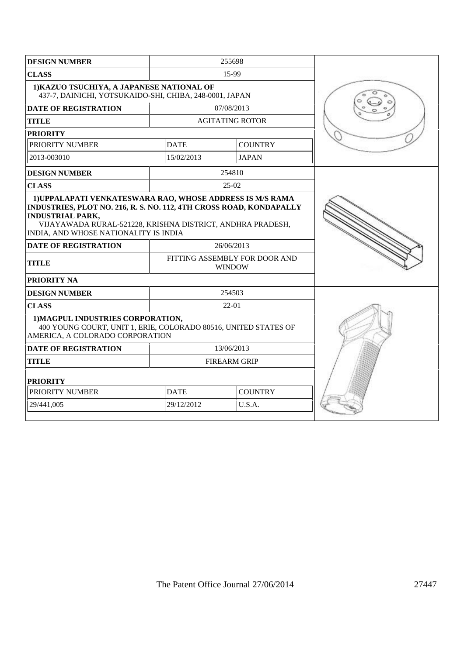| <b>DESIGN NUMBER</b>                                                                                                                                                                                                                                               |             | 255698                                         |  |
|--------------------------------------------------------------------------------------------------------------------------------------------------------------------------------------------------------------------------------------------------------------------|-------------|------------------------------------------------|--|
| <b>CLASS</b>                                                                                                                                                                                                                                                       |             |                                                |  |
| 1) KAZUO TSUCHIYA, A JAPANESE NATIONAL OF<br>437-7, DAINICHI, YOTSUKAIDO-SHI, CHIBA, 248-0001, JAPAN                                                                                                                                                               |             |                                                |  |
| <b>DATE OF REGISTRATION</b>                                                                                                                                                                                                                                        |             | 07/08/2013                                     |  |
| <b>TITLE</b>                                                                                                                                                                                                                                                       |             | <b>AGITATING ROTOR</b>                         |  |
| <b>PRIORITY</b>                                                                                                                                                                                                                                                    |             |                                                |  |
| PRIORITY NUMBER                                                                                                                                                                                                                                                    | <b>DATE</b> | <b>COUNTRY</b>                                 |  |
| 2013-003010                                                                                                                                                                                                                                                        | 15/02/2013  | <b>JAPAN</b>                                   |  |
| <b>DESIGN NUMBER</b>                                                                                                                                                                                                                                               |             | 254810                                         |  |
| <b>CLASS</b>                                                                                                                                                                                                                                                       |             | $25-02$                                        |  |
| 1) UPPALAPATI VENKATESWARA RAO, WHOSE ADDRESS IS M/S RAMA<br>INDUSTRIES, PLOT NO. 216, R. S. NO. 112, 4TH CROSS ROAD, KONDAPALLY<br><b>INDUSTRIAL PARK,</b><br>VIJAYAWADA RURAL-521228, KRISHNA DISTRICT, ANDHRA PRADESH,<br>INDIA, AND WHOSE NATIONALITY IS INDIA |             |                                                |  |
| <b>DATE OF REGISTRATION</b>                                                                                                                                                                                                                                        |             | 26/06/2013                                     |  |
| <b>TITLE</b>                                                                                                                                                                                                                                                       |             | FITTING ASSEMBLY FOR DOOR AND<br><b>WINDOW</b> |  |
| <b>PRIORITY NA</b>                                                                                                                                                                                                                                                 |             |                                                |  |
| <b>DESIGN NUMBER</b>                                                                                                                                                                                                                                               |             | 254503                                         |  |
| <b>CLASS</b>                                                                                                                                                                                                                                                       |             | $22-01$                                        |  |
| 1) MAGPUL INDUSTRIES CORPORATION,<br>400 YOUNG COURT, UNIT 1, ERIE, COLORADO 80516, UNITED STATES OF<br>AMERICA, A COLORADO CORPORATION                                                                                                                            |             |                                                |  |
| <b>DATE OF REGISTRATION</b>                                                                                                                                                                                                                                        |             | 13/06/2013                                     |  |
| <b>TITLE</b>                                                                                                                                                                                                                                                       |             | <b>FIREARM GRIP</b>                            |  |
| <b>PRIORITY</b>                                                                                                                                                                                                                                                    |             |                                                |  |
| PRIORITY NUMBER                                                                                                                                                                                                                                                    | <b>DATE</b> | <b>COUNTRY</b>                                 |  |
| 29/441,005                                                                                                                                                                                                                                                         | 29/12/2012  | U.S.A.                                         |  |
|                                                                                                                                                                                                                                                                    |             |                                                |  |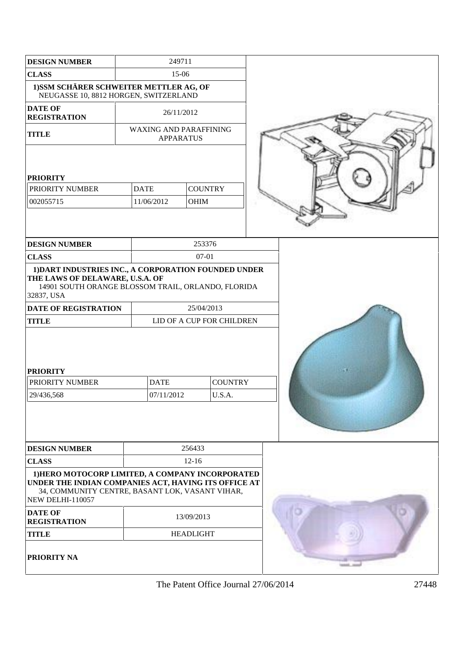| <b>DESIGN NUMBER</b>                                                                                                                                                                   | 249711                    |                  |                |  |
|----------------------------------------------------------------------------------------------------------------------------------------------------------------------------------------|---------------------------|------------------|----------------|--|
| <b>CLASS</b>                                                                                                                                                                           | 15-06                     |                  |                |  |
| 1)SSM SCHÄRER SCHWEITER METTLER AG, OF<br>NEUGASSE 10, 8812 HORGEN, SWITZERLAND                                                                                                        |                           |                  |                |  |
| <b>DATE OF</b><br><b>REGISTRATION</b>                                                                                                                                                  |                           | 26/11/2012       |                |  |
| <b>TITLE</b>                                                                                                                                                                           | WAXING AND PARAFFINING    | <b>APPARATUS</b> |                |  |
|                                                                                                                                                                                        |                           |                  |                |  |
| <b>PRIORITY</b>                                                                                                                                                                        |                           |                  |                |  |
| PRIORITY NUMBER                                                                                                                                                                        | <b>DATE</b>               | <b>COUNTRY</b>   |                |  |
| 002055715                                                                                                                                                                              | 11/06/2012                | <b>OHIM</b>      |                |  |
|                                                                                                                                                                                        |                           |                  |                |  |
| <b>DESIGN NUMBER</b>                                                                                                                                                                   |                           | 253376           |                |  |
| <b>CLASS</b>                                                                                                                                                                           |                           | $07 - 01$        |                |  |
| 1) DART INDUSTRIES INC., A CORPORATION FOUNDED UNDER<br>THE LAWS OF DELAWARE, U.S.A. OF<br>14901 SOUTH ORANGE BLOSSOM TRAIL, ORLANDO, FLORIDA<br>32837, USA                            |                           |                  |                |  |
| <b>DATE OF REGISTRATION</b>                                                                                                                                                            | 25/04/2013                |                  |                |  |
| <b>TITLE</b>                                                                                                                                                                           | LID OF A CUP FOR CHILDREN |                  |                |  |
| <b>PRIORITY</b>                                                                                                                                                                        |                           |                  |                |  |
| PRIORITY NUMBER                                                                                                                                                                        | <b>DATE</b>               |                  | <b>COUNTRY</b> |  |
| 29/436,568                                                                                                                                                                             | 07/11/2012                |                  | U.S.A.         |  |
|                                                                                                                                                                                        |                           |                  |                |  |
| <b>DESIGN NUMBER</b>                                                                                                                                                                   |                           | 256433           |                |  |
| <b>CLASS</b>                                                                                                                                                                           | $12 - 16$                 |                  |                |  |
| 1) HERO MOTOCORP LIMITED, A COMPANY INCORPORATED<br>UNDER THE INDIAN COMPANIES ACT, HAVING ITS OFFICE AT<br>34, COMMUNITY CENTRE, BASANT LOK, VASANT VIHAR,<br><b>NEW DELHI-110057</b> |                           |                  |                |  |
| <b>DATE OF</b><br><b>REGISTRATION</b>                                                                                                                                                  |                           | 13/09/2013       |                |  |
| <b>TITLE</b>                                                                                                                                                                           |                           | <b>HEADLIGHT</b> |                |  |
| <b>PRIORITY NA</b>                                                                                                                                                                     |                           |                  |                |  |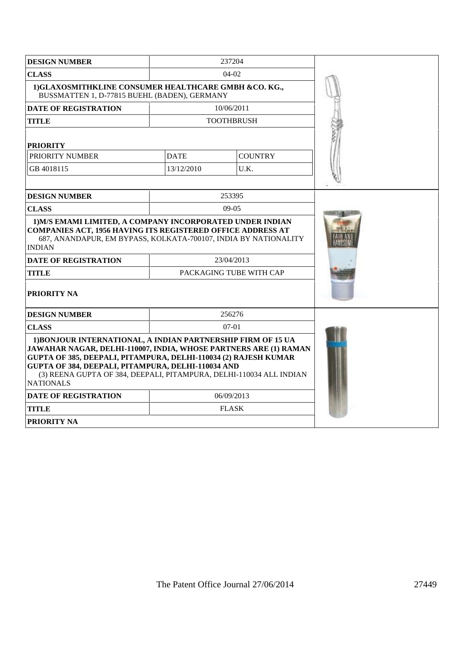| <b>DESIGN NUMBER</b>                                                                                                                                                                                                                                                                                                                                 |             |                         |  |
|------------------------------------------------------------------------------------------------------------------------------------------------------------------------------------------------------------------------------------------------------------------------------------------------------------------------------------------------------|-------------|-------------------------|--|
| <b>CLASS</b>                                                                                                                                                                                                                                                                                                                                         |             |                         |  |
| 1) GLAXOSMITHKLINE CONSUMER HEALTHCARE GMBH &CO. KG.,<br>BUSSMATTEN 1, D-77815 BUEHL (BADEN), GERMANY                                                                                                                                                                                                                                                |             |                         |  |
| <b>DATE OF REGISTRATION</b>                                                                                                                                                                                                                                                                                                                          |             | 10/06/2011              |  |
| <b>TITLE</b>                                                                                                                                                                                                                                                                                                                                         |             | <b>TOOTHBRUSH</b>       |  |
| <b>PRIORITY</b>                                                                                                                                                                                                                                                                                                                                      |             |                         |  |
| PRIORITY NUMBER                                                                                                                                                                                                                                                                                                                                      | <b>DATE</b> | <b>COUNTRY</b>          |  |
| GB 4018115                                                                                                                                                                                                                                                                                                                                           | 13/12/2010  | U.K.                    |  |
|                                                                                                                                                                                                                                                                                                                                                      |             |                         |  |
| <b>DESIGN NUMBER</b>                                                                                                                                                                                                                                                                                                                                 |             | 253395                  |  |
| <b>CLASS</b>                                                                                                                                                                                                                                                                                                                                         |             | $09-05$                 |  |
| 1) M/S EMAMI LIMITED, A COMPANY INCORPORATED UNDER INDIAN<br><b>COMPANIES ACT, 1956 HAVING ITS REGISTERED OFFICE ADDRESS AT</b><br>687, ANANDAPUR, EM BYPASS, KOLKATA-700107, INDIA BY NATIONALITY<br><b>INDIAN</b>                                                                                                                                  |             |                         |  |
| <b>DATE OF REGISTRATION</b>                                                                                                                                                                                                                                                                                                                          |             | 23/04/2013              |  |
| <b>TITLE</b>                                                                                                                                                                                                                                                                                                                                         |             | PACKAGING TUBE WITH CAP |  |
| <b>PRIORITY NA</b>                                                                                                                                                                                                                                                                                                                                   |             |                         |  |
| <b>DESIGN NUMBER</b>                                                                                                                                                                                                                                                                                                                                 |             | 256276                  |  |
| <b>CLASS</b>                                                                                                                                                                                                                                                                                                                                         | $07-01$     |                         |  |
| 1) BONJOUR INTERNATIONAL, A INDIAN PARTNERSHIP FIRM OF 15 UA<br>JAWAHAR NAGAR, DELHI-110007, INDIA, WHOSE PARTNERS ARE (1) RAMAN<br>GUPTA OF 385, DEEPALI, PITAMPURA, DELHI-110034 (2) RAJESH KUMAR<br>GUPTA OF 384, DEEPALI, PITAMPURA, DELHI-110034 AND<br>(3) REENA GUPTA OF 384, DEEPALI, PITAMPURA, DELHI-110034 ALL INDIAN<br><b>NATIONALS</b> |             |                         |  |
| <b>DATE OF REGISTRATION</b>                                                                                                                                                                                                                                                                                                                          | 06/09/2013  |                         |  |
| <b>TITLE</b>                                                                                                                                                                                                                                                                                                                                         |             | <b>FLASK</b>            |  |
| <b>PRIORITY NA</b>                                                                                                                                                                                                                                                                                                                                   |             |                         |  |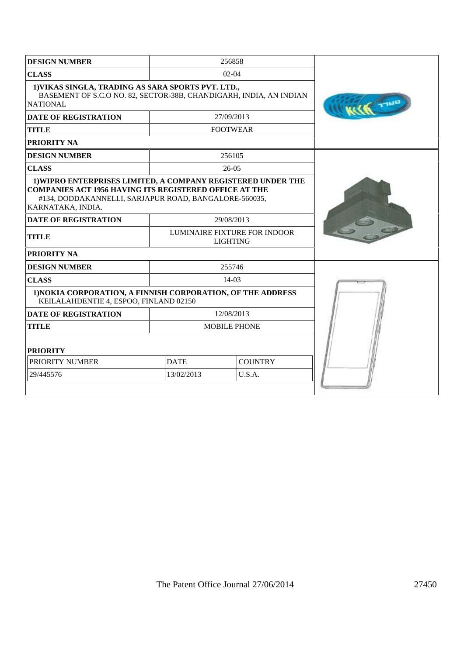| <b>DESIGN NUMBER</b>                                                                                                                                                                                        | 256858      |                                                 |  |
|-------------------------------------------------------------------------------------------------------------------------------------------------------------------------------------------------------------|-------------|-------------------------------------------------|--|
| <b>CLASS</b>                                                                                                                                                                                                |             |                                                 |  |
| 1) VIKAS SINGLA, TRADING AS SARA SPORTS PVT. LTD.,<br>BASEMENT OF S.C.O NO. 82, SECTOR-38B, CHANDIGARH, INDIA, AN INDIAN<br><b>NATIONAL</b>                                                                 |             |                                                 |  |
| <b>DATE OF REGISTRATION</b>                                                                                                                                                                                 |             | 27/09/2013                                      |  |
| <b>TITLE</b>                                                                                                                                                                                                |             | <b>FOOTWEAR</b>                                 |  |
| <b>PRIORITY NA</b>                                                                                                                                                                                          |             |                                                 |  |
| <b>DESIGN NUMBER</b>                                                                                                                                                                                        |             | 256105                                          |  |
| <b>CLASS</b>                                                                                                                                                                                                |             | $26-05$                                         |  |
| 1) WIPRO ENTERPRISES LIMITED, A COMPANY REGISTERED UNDER THE<br><b>COMPANIES ACT 1956 HAVING ITS REGISTERED OFFICE AT THE</b><br>#134, DODDAKANNELLI, SARJAPUR ROAD, BANGALORE-560035,<br>KARNATAKA, INDIA. |             |                                                 |  |
| <b>DATE OF REGISTRATION</b>                                                                                                                                                                                 |             | 29/08/2013                                      |  |
| <b>TITLE</b>                                                                                                                                                                                                |             | LUMINAIRE FIXTURE FOR INDOOR<br><b>LIGHTING</b> |  |
| <b>PRIORITY NA</b>                                                                                                                                                                                          |             |                                                 |  |
| <b>DESIGN NUMBER</b>                                                                                                                                                                                        |             | 255746                                          |  |
| <b>CLASS</b>                                                                                                                                                                                                |             | $14-03$                                         |  |
| 1) NOKIA CORPORATION, A FINNISH CORPORATION, OF THE ADDRESS<br>KEILALAHDENTIE 4, ESPOO, FINLAND 02150                                                                                                       |             |                                                 |  |
| <b>DATE OF REGISTRATION</b>                                                                                                                                                                                 |             | 12/08/2013                                      |  |
| <b>TITLE</b>                                                                                                                                                                                                |             | <b>MOBILE PHONE</b>                             |  |
| <b>PRIORITY</b>                                                                                                                                                                                             |             |                                                 |  |
| PRIORITY NUMBER                                                                                                                                                                                             | <b>DATE</b> | <b>COUNTRY</b>                                  |  |
| 29/445576                                                                                                                                                                                                   | 13/02/2013  | U.S.A.                                          |  |
|                                                                                                                                                                                                             |             |                                                 |  |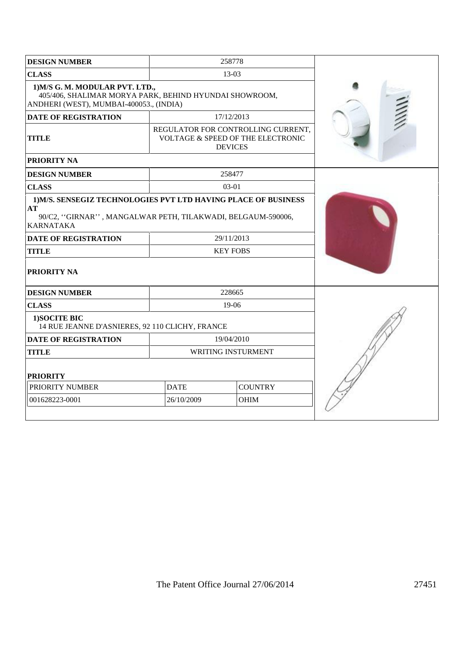| <b>DESIGN NUMBER</b>                                                                                                                                                                         |             | 258778                                                                                    |  |
|----------------------------------------------------------------------------------------------------------------------------------------------------------------------------------------------|-------------|-------------------------------------------------------------------------------------------|--|
| <b>CLASS</b>                                                                                                                                                                                 |             | 13-03                                                                                     |  |
| 1) M/S G. M. MODULAR PVT. LTD.,<br>405/406, SHALIMAR MORYA PARK, BEHIND HYUNDAI SHOWROOM,<br>ANDHERI (WEST), MUMBAI-400053., (INDIA)                                                         |             |                                                                                           |  |
| <b>DATE OF REGISTRATION</b>                                                                                                                                                                  |             | 17/12/2013                                                                                |  |
| <b>TITLE</b>                                                                                                                                                                                 |             | REGULATOR FOR CONTROLLING CURRENT,<br>VOLTAGE & SPEED OF THE ELECTRONIC<br><b>DEVICES</b> |  |
| PRIORITY NA                                                                                                                                                                                  |             |                                                                                           |  |
| <b>DESIGN NUMBER</b>                                                                                                                                                                         |             | 258477                                                                                    |  |
| <b>CLASS</b>                                                                                                                                                                                 |             | $03-01$                                                                                   |  |
| 1) M/S. SENSEGIZ TECHNOLOGIES PVT LTD HAVING PLACE OF BUSINESS<br>$\bf AT$<br>90/C2, "GIRNAR", MANGALWAR PETH, TILAKWADI, BELGAUM-590006,<br><b>KARNATAKA</b><br><b>DATE OF REGISTRATION</b> |             |                                                                                           |  |
| <b>TITLE</b>                                                                                                                                                                                 |             | <b>KEY FOBS</b>                                                                           |  |
| PRIORITY NA                                                                                                                                                                                  |             |                                                                                           |  |
| <b>DESIGN NUMBER</b>                                                                                                                                                                         |             | 228665                                                                                    |  |
| <b>CLASS</b>                                                                                                                                                                                 |             | $19-06$                                                                                   |  |
| 1) SOCITE BIC<br>14 RUE JEANNE D'ASNIERES, 92 110 CLICHY, FRANCE                                                                                                                             |             |                                                                                           |  |
| <b>DATE OF REGISTRATION</b><br>19/04/2010                                                                                                                                                    |             |                                                                                           |  |
| <b>TITLE</b>                                                                                                                                                                                 |             | WRITING INSTURMENT                                                                        |  |
| <b>PRIORITY</b>                                                                                                                                                                              |             |                                                                                           |  |
| PRIORITY NUMBER                                                                                                                                                                              | <b>DATE</b> | <b>COUNTRY</b>                                                                            |  |
| 001628223-0001                                                                                                                                                                               | 26/10/2009  | <b>OHIM</b>                                                                               |  |
|                                                                                                                                                                                              |             |                                                                                           |  |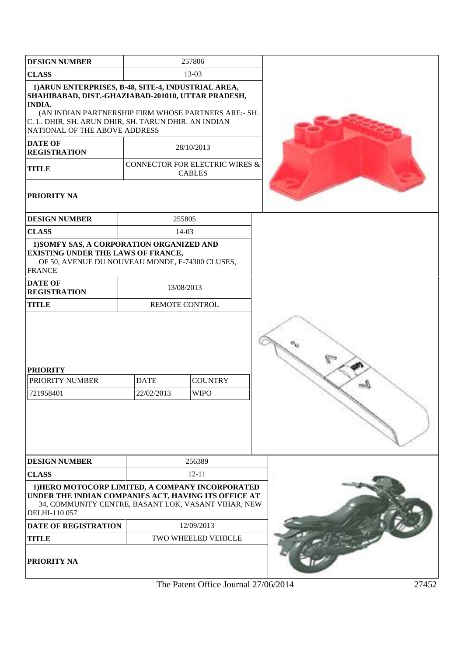| <b>DESIGN NUMBER</b>                                                                                                                                                                                                                                                        |                           | 257806                                          |  |  |
|-----------------------------------------------------------------------------------------------------------------------------------------------------------------------------------------------------------------------------------------------------------------------------|---------------------------|-------------------------------------------------|--|--|
| 13-03<br><b>CLASS</b>                                                                                                                                                                                                                                                       |                           |                                                 |  |  |
| 1) ARUN ENTERPRISES, B-48, SITE-4, INDUSTRIAL AREA,<br>SHAHIBABAD, DIST.-GHAZIABAD-201010, UTTAR PRADESH,<br><b>INDIA.</b><br>(AN INDIAN PARTNERSHIP FIRM WHOSE PARTNERS ARE:- SH.<br>C. L. DHIR, SH. ARUN DHIR, SH. TARUN DHIR. AN INDIAN<br>NATIONAL OF THE ABOVE ADDRESS |                           |                                                 |  |  |
| <b>DATE OF</b><br><b>REGISTRATION</b>                                                                                                                                                                                                                                       |                           | 28/10/2013                                      |  |  |
| <b>TITLE</b>                                                                                                                                                                                                                                                                |                           | CONNECTOR FOR ELECTRIC WIRES &<br><b>CABLES</b> |  |  |
| <b>PRIORITY NA</b>                                                                                                                                                                                                                                                          |                           |                                                 |  |  |
| <b>DESIGN NUMBER</b>                                                                                                                                                                                                                                                        |                           | 255805                                          |  |  |
| <b>CLASS</b>                                                                                                                                                                                                                                                                |                           | 14-03                                           |  |  |
| 1) SOMFY SAS, A CORPORATION ORGANIZED AND<br><b>EXISTING UNDER THE LAWS OF FRANCE,</b><br>OF 50, AVENUE DU NOUVEAU MONDE, F-74300 CLUSES,<br><b>FRANCE</b>                                                                                                                  |                           |                                                 |  |  |
| <b>DATE OF</b><br><b>REGISTRATION</b>                                                                                                                                                                                                                                       |                           | 13/08/2013                                      |  |  |
| <b>TITLE</b>                                                                                                                                                                                                                                                                |                           | <b>REMOTE CONTROL</b>                           |  |  |
| <b>PRIORITY</b><br>PRIORITY NUMBER<br>721958401                                                                                                                                                                                                                             | <b>DATE</b><br>22/02/2013 | <b>COUNTRY</b><br><b>WIPO</b>                   |  |  |
| <b>DESIGN NUMBER</b>                                                                                                                                                                                                                                                        |                           | 256389                                          |  |  |
| <b>CLASS</b>                                                                                                                                                                                                                                                                |                           | $12 - 11$                                       |  |  |
| 1) HERO MOTOCORP LIMITED, A COMPANY INCORPORATED<br>UNDER THE INDIAN COMPANIES ACT, HAVING ITS OFFICE AT<br>34, COMMUNITY CENTRE, BASANT LOK, VASANT VIHAR, NEW<br>DELHI-110 057                                                                                            |                           |                                                 |  |  |
| <b>DATE OF REGISTRATION</b>                                                                                                                                                                                                                                                 |                           | 12/09/2013                                      |  |  |
| <b>TITLE</b>                                                                                                                                                                                                                                                                |                           | TWO WHEELED VEHICLE                             |  |  |
| PRIORITY NA                                                                                                                                                                                                                                                                 |                           |                                                 |  |  |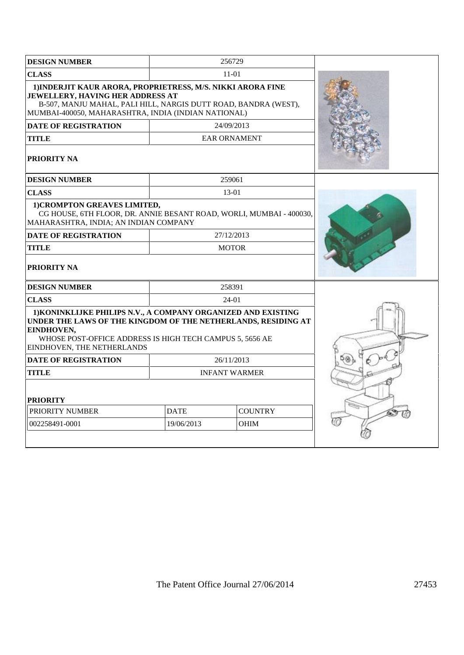| <b>DESIGN NUMBER</b>                                                                                                                                                                                                                   |                               | 256729               |  |
|----------------------------------------------------------------------------------------------------------------------------------------------------------------------------------------------------------------------------------------|-------------------------------|----------------------|--|
| <b>CLASS</b>                                                                                                                                                                                                                           |                               | 11-01                |  |
| 1) INDERJIT KAUR ARORA, PROPRIETRESS, M/S. NIKKI ARORA FINE<br>JEWELLERY, HAVING HER ADDRESS AT<br>B-507, MANJU MAHAL, PALI HILL, NARGIS DUTT ROAD, BANDRA (WEST),<br>MUMBAI-400050, MAHARASHTRA, INDIA (INDIAN NATIONAL)              |                               |                      |  |
| <b>DATE OF REGISTRATION</b>                                                                                                                                                                                                            |                               | 24/09/2013           |  |
| <b>TITLE</b>                                                                                                                                                                                                                           |                               | <b>EAR ORNAMENT</b>  |  |
| <b>PRIORITY NA</b>                                                                                                                                                                                                                     |                               |                      |  |
| <b>DESIGN NUMBER</b>                                                                                                                                                                                                                   |                               | 259061               |  |
| <b>CLASS</b>                                                                                                                                                                                                                           |                               | 13-01                |  |
| 1) CROMPTON GREAVES LIMITED,<br>CG HOUSE, 6TH FLOOR, DR. ANNIE BESANT ROAD, WORLI, MUMBAI - 400030,<br>MAHARASHTRA, INDIA; AN INDIAN COMPANY                                                                                           |                               |                      |  |
| <b>DATE OF REGISTRATION</b>                                                                                                                                                                                                            |                               | 27/12/2013           |  |
| <b>TITLE</b>                                                                                                                                                                                                                           |                               | <b>MOTOR</b>         |  |
| <b>PRIORITY NA</b>                                                                                                                                                                                                                     |                               |                      |  |
| <b>DESIGN NUMBER</b>                                                                                                                                                                                                                   |                               | 258391               |  |
| <b>CLASS</b>                                                                                                                                                                                                                           |                               | 24-01                |  |
| 1) KONINKLIJKE PHILIPS N.V., A COMPANY ORGANIZED AND EXISTING<br>UNDER THE LAWS OF THE KINGDOM OF THE NETHERLANDS, RESIDING AT<br>EINDHOVEN,<br>WHOSE POST-OFFICE ADDRESS IS HIGH TECH CAMPUS 5, 5656 AE<br>EINDHOVEN, THE NETHERLANDS |                               |                      |  |
| <b>DATE OF REGISTRATION</b>                                                                                                                                                                                                            |                               | 26/11/2013           |  |
| <b>TITLE</b>                                                                                                                                                                                                                           |                               | <b>INFANT WARMER</b> |  |
| <b>PRIORITY</b>                                                                                                                                                                                                                        |                               |                      |  |
| PRIORITY NUMBER                                                                                                                                                                                                                        | <b>COUNTRY</b><br><b>DATE</b> |                      |  |
| 002258491-0001                                                                                                                                                                                                                         | 19/06/2013                    | <b>OHIM</b>          |  |
|                                                                                                                                                                                                                                        |                               |                      |  |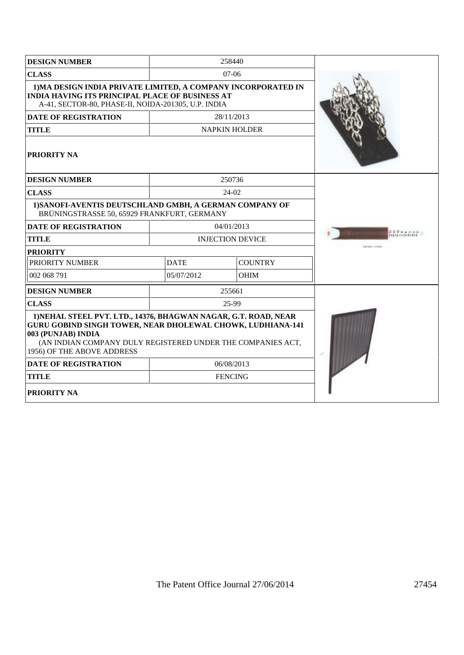| <b>DESIGN NUMBER</b>                                                                                                                                                                                                                                    |             | 258440                  |                     |
|---------------------------------------------------------------------------------------------------------------------------------------------------------------------------------------------------------------------------------------------------------|-------------|-------------------------|---------------------|
| <b>CLASS</b>                                                                                                                                                                                                                                            |             | $07-06$                 |                     |
| 1) MA DESIGN INDIA PRIVATE LIMITED, A COMPANY INCORPORATED IN<br><b>INDIA HAVING ITS PRINCIPAL PLACE OF BUSINESS AT</b><br>A-41, SECTOR-80, PHASE-II, NOIDA-201305, U.P. INDIA                                                                          |             |                         |                     |
| <b>DATE OF REGISTRATION</b>                                                                                                                                                                                                                             |             | 28/11/2013              |                     |
| <b>TITLE</b>                                                                                                                                                                                                                                            |             | <b>NAPKIN HOLDER</b>    |                     |
| <b>PRIORITY NA</b>                                                                                                                                                                                                                                      |             |                         |                     |
| <b>DESIGN NUMBER</b>                                                                                                                                                                                                                                    |             | 250736                  |                     |
| <b>CLASS</b>                                                                                                                                                                                                                                            |             | 24-02                   |                     |
| 1) SANOFI-AVENTIS DEUTSCHLAND GMBH, A GERMAN COMPANY OF<br>BRÜNINGSTRASSE 50, 65929 FRANKFURT, GERMANY                                                                                                                                                  |             |                         |                     |
| <b>DATE OF REGISTRATION</b>                                                                                                                                                                                                                             |             | 04/01/2013              |                     |
| <b>TITLE</b>                                                                                                                                                                                                                                            |             | <b>INJECTION DEVICE</b> |                     |
| <b>PRIORITY</b>                                                                                                                                                                                                                                         |             |                         | <b>ENTRAL LEWIS</b> |
| <b>PRIORITY NUMBER</b>                                                                                                                                                                                                                                  | <b>DATE</b> | <b>COUNTRY</b>          |                     |
| 002 068 791                                                                                                                                                                                                                                             | 05/07/2012  | <b>OHIM</b>             |                     |
| <b>DESIGN NUMBER</b>                                                                                                                                                                                                                                    |             | 255661                  |                     |
| <b>CLASS</b>                                                                                                                                                                                                                                            |             | 25-99                   |                     |
| 1) NEHAL STEEL PVT. LTD., 14376, BHAGWAN NAGAR, G.T. ROAD, NEAR<br><b>GURU GOBIND SINGH TOWER, NEAR DHOLEWAL CHOWK, LUDHIANA-141</b><br>003 (PUNJAB) INDIA<br>(AN INDIAN COMPANY DULY REGISTERED UNDER THE COMPANIES ACT,<br>1956) OF THE ABOVE ADDRESS |             |                         |                     |
| <b>DATE OF REGISTRATION</b>                                                                                                                                                                                                                             |             | 06/08/2013              |                     |
| <b>TITLE</b>                                                                                                                                                                                                                                            |             | <b>FENCING</b>          |                     |
| <b>PRIORITY NA</b>                                                                                                                                                                                                                                      |             |                         |                     |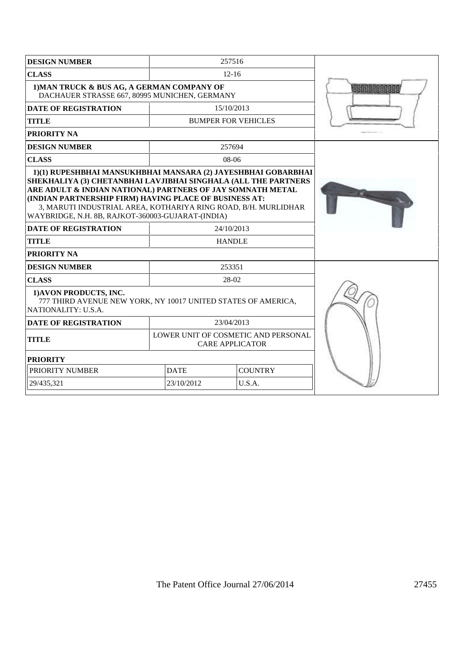| <b>DESIGN NUMBER</b>                                                                                           |                                                                                                                                                                                                                                                                                                                                                                                | 257516                                                        |  |  |  |
|----------------------------------------------------------------------------------------------------------------|--------------------------------------------------------------------------------------------------------------------------------------------------------------------------------------------------------------------------------------------------------------------------------------------------------------------------------------------------------------------------------|---------------------------------------------------------------|--|--|--|
| <b>CLASS</b>                                                                                                   |                                                                                                                                                                                                                                                                                                                                                                                | $12 - 16$                                                     |  |  |  |
| 1) MAN TRUCK & BUS AG, A GERMAN COMPANY OF<br>DACHAUER STRASSE 667, 80995 MUNICHEN, GERMANY                    |                                                                                                                                                                                                                                                                                                                                                                                |                                                               |  |  |  |
| <b>DATE OF REGISTRATION</b>                                                                                    |                                                                                                                                                                                                                                                                                                                                                                                | 15/10/2013                                                    |  |  |  |
| <b>TITLE</b>                                                                                                   |                                                                                                                                                                                                                                                                                                                                                                                | <b>BUMPER FOR VEHICLES</b>                                    |  |  |  |
| <b>PRIORITY NA</b>                                                                                             |                                                                                                                                                                                                                                                                                                                                                                                |                                                               |  |  |  |
| <b>DESIGN NUMBER</b>                                                                                           |                                                                                                                                                                                                                                                                                                                                                                                | 257694                                                        |  |  |  |
| <b>CLASS</b>                                                                                                   |                                                                                                                                                                                                                                                                                                                                                                                | $08-06$                                                       |  |  |  |
|                                                                                                                | 1)(1) RUPESHBHAI MANSUKHBHAI MANSARA (2) JAYESHBHAI GOBARBHAI<br>SHEKHALIYA (3) CHETANBHAI LAVJIBHAI SINGHALA (ALL THE PARTNERS<br>ARE ADULT & INDIAN NATIONAL) PARTNERS OF JAY SOMNATH METAL<br>(INDIAN PARTNERSHIP FIRM) HAVING PLACE OF BUSINESS AT:<br>3, MARUTI INDUSTRIAL AREA, KOTHARIYA RING ROAD, B/H. MURLIDHAR<br>WAYBRIDGE, N.H. 8B, RAJKOT-360003-GUJARAT-(INDIA) |                                                               |  |  |  |
| <b>DATE OF REGISTRATION</b>                                                                                    |                                                                                                                                                                                                                                                                                                                                                                                | 24/10/2013                                                    |  |  |  |
| <b>TITLE</b>                                                                                                   |                                                                                                                                                                                                                                                                                                                                                                                | <b>HANDLE</b>                                                 |  |  |  |
| <b>PRIORITY NA</b>                                                                                             |                                                                                                                                                                                                                                                                                                                                                                                |                                                               |  |  |  |
| <b>DESIGN NUMBER</b>                                                                                           |                                                                                                                                                                                                                                                                                                                                                                                | 253351                                                        |  |  |  |
| <b>CLASS</b>                                                                                                   |                                                                                                                                                                                                                                                                                                                                                                                | 28-02                                                         |  |  |  |
| 1) AVON PRODUCTS, INC.<br>777 THIRD AVENUE NEW YORK, NY 10017 UNITED STATES OF AMERICA,<br>NATIONALITY: U.S.A. |                                                                                                                                                                                                                                                                                                                                                                                |                                                               |  |  |  |
| <b>DATE OF REGISTRATION</b>                                                                                    |                                                                                                                                                                                                                                                                                                                                                                                | 23/04/2013                                                    |  |  |  |
| <b>TITLE</b>                                                                                                   |                                                                                                                                                                                                                                                                                                                                                                                | LOWER UNIT OF COSMETIC AND PERSONAL<br><b>CARE APPLICATOR</b> |  |  |  |
| <b>PRIORITY</b>                                                                                                |                                                                                                                                                                                                                                                                                                                                                                                |                                                               |  |  |  |
| PRIORITY NUMBER                                                                                                | <b>DATE</b>                                                                                                                                                                                                                                                                                                                                                                    | <b>COUNTRY</b>                                                |  |  |  |
| 29/435.321                                                                                                     | 23/10/2012                                                                                                                                                                                                                                                                                                                                                                     | U.S.A.                                                        |  |  |  |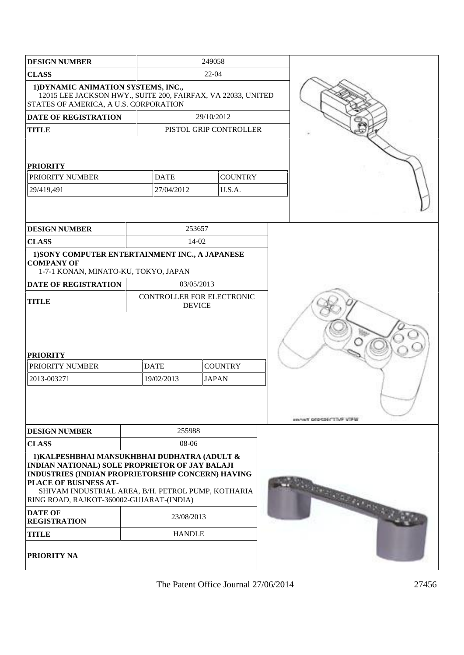| <b>DESIGN NUMBER</b>                                                                                                                                                                                                                                                           |                                                             | 249058                                     |  |                             |
|--------------------------------------------------------------------------------------------------------------------------------------------------------------------------------------------------------------------------------------------------------------------------------|-------------------------------------------------------------|--------------------------------------------|--|-----------------------------|
| <b>CLASS</b>                                                                                                                                                                                                                                                                   |                                                             | $22 - 04$                                  |  |                             |
| 1) DYNAMIC ANIMATION SYSTEMS, INC.,<br>12015 LEE JACKSON HWY., SUITE 200, FAIRFAX, VA 22033, UNITED<br>STATES OF AMERICA, A U.S. CORPORATION                                                                                                                                   |                                                             |                                            |  |                             |
| <b>DATE OF REGISTRATION</b>                                                                                                                                                                                                                                                    |                                                             | 29/10/2012                                 |  |                             |
| <b>TITLE</b>                                                                                                                                                                                                                                                                   |                                                             | PISTOL GRIP CONTROLLER                     |  |                             |
| <b>PRIORITY</b><br><b>PRIORITY NUMBER</b><br>29/419,491                                                                                                                                                                                                                        | <b>DATE</b><br><b>COUNTRY</b><br>27/04/2012<br>U.S.A.       |                                            |  |                             |
|                                                                                                                                                                                                                                                                                |                                                             |                                            |  |                             |
| <b>DESIGN NUMBER</b>                                                                                                                                                                                                                                                           |                                                             | 253657                                     |  |                             |
| <b>CLASS</b>                                                                                                                                                                                                                                                                   |                                                             | $14-02$                                    |  |                             |
| 1) SONY COMPUTER ENTERTAINMENT INC., A JAPANESE<br><b>COMPANY OF</b><br>1-7-1 KONAN, MINATO-KU, TOKYO, JAPAN                                                                                                                                                                   |                                                             |                                            |  |                             |
| <b>DATE OF REGISTRATION</b>                                                                                                                                                                                                                                                    |                                                             | 03/05/2013                                 |  |                             |
| <b>TITLE</b>                                                                                                                                                                                                                                                                   |                                                             | CONTROLLER FOR ELECTRONIC<br><b>DEVICE</b> |  |                             |
| <b>PRIORITY</b><br>PRIORITY NUMBER<br>2013-003271                                                                                                                                                                                                                              | <b>COUNTRY</b><br><b>DATE</b><br>19/02/2013<br><b>JAPAN</b> |                                            |  | <b>INVIT DEPERTIVE VIEW</b> |
| <b>DESIGN NUMBER</b>                                                                                                                                                                                                                                                           | 255988                                                      |                                            |  |                             |
| <b>CLASS</b>                                                                                                                                                                                                                                                                   | 08-06                                                       |                                            |  |                             |
| 1) KALPESHBHAI MANSUKHBHAI DUDHATRA (ADULT &<br>INDIAN NATIONAL) SOLE PROPRIETOR OF JAY BALAJI<br>INDUSTRIES (INDIAN PROPRIETORSHIP CONCERN) HAVING<br>PLACE OF BUSINESS AT-<br>SHIVAM INDUSTRIAL AREA, B/H. PETROL PUMP, KOTHARIA<br>RING ROAD, RAJKOT-360002-GUJARAT-(INDIA) |                                                             |                                            |  | Samuel and the my and all   |
| <b>DATE OF</b><br><b>REGISTRATION</b>                                                                                                                                                                                                                                          |                                                             | 23/08/2013                                 |  |                             |
| <b>TITLE</b>                                                                                                                                                                                                                                                                   | <b>HANDLE</b>                                               |                                            |  |                             |
| <b>PRIORITY NA</b>                                                                                                                                                                                                                                                             |                                                             |                                            |  |                             |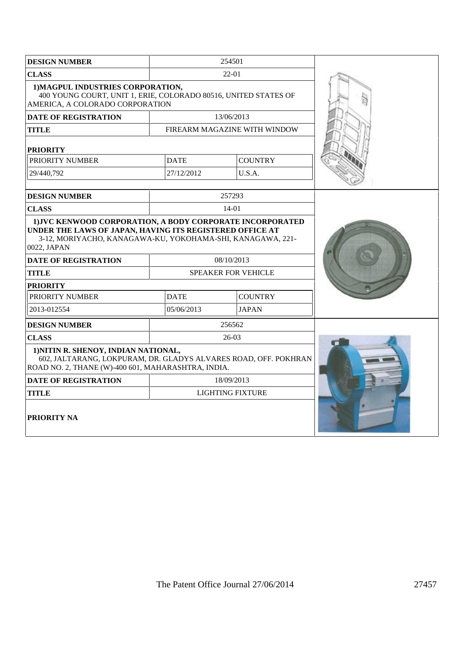| <b>DESIGN NUMBER</b>                                                                                                                                          |                               | 254501                       |  |
|---------------------------------------------------------------------------------------------------------------------------------------------------------------|-------------------------------|------------------------------|--|
| <b>CLASS</b>                                                                                                                                                  |                               | 22-01                        |  |
| 1) MAGPUL INDUSTRIES CORPORATION,<br>400 YOUNG COURT, UNIT 1, ERIE, COLORADO 80516, UNITED STATES OF<br>AMERICA, A COLORADO CORPORATION                       |                               |                              |  |
| <b>DATE OF REGISTRATION</b>                                                                                                                                   |                               | 13/06/2013                   |  |
| <b>TITLE</b>                                                                                                                                                  |                               | FIREARM MAGAZINE WITH WINDOW |  |
| <b>PRIORITY</b>                                                                                                                                               |                               |                              |  |
| PRIORITY NUMBER                                                                                                                                               | <b>DATE</b>                   | <b>COUNTRY</b>               |  |
| 29/440.792                                                                                                                                                    | 27/12/2012                    | U.S.A.                       |  |
|                                                                                                                                                               |                               |                              |  |
| <b>DESIGN NUMBER</b>                                                                                                                                          |                               | 257293                       |  |
| <b>CLASS</b>                                                                                                                                                  |                               | $14-01$                      |  |
| UNDER THE LAWS OF JAPAN, HAVING ITS REGISTERED OFFICE AT<br>3-12, MORIYACHO, KANAGAWA-KU, YOKOHAMA-SHI, KANAGAWA, 221-<br>0022, JAPAN                         |                               |                              |  |
| <b>DATE OF REGISTRATION</b>                                                                                                                                   |                               | 08/10/2013                   |  |
| <b>TITLE</b>                                                                                                                                                  |                               | <b>SPEAKER FOR VEHICLE</b>   |  |
| <b>PRIORITY</b>                                                                                                                                               |                               |                              |  |
| PRIORITY NUMBER                                                                                                                                               | <b>DATE</b><br><b>COUNTRY</b> |                              |  |
| 2013-012554                                                                                                                                                   | 05/06/2013                    | <b>JAPAN</b>                 |  |
| <b>DESIGN NUMBER</b>                                                                                                                                          |                               | 256562                       |  |
| <b>CLASS</b>                                                                                                                                                  |                               | $26-03$                      |  |
| 1) NITIN R. SHENOY, INDIAN NATIONAL,<br>602, JALTARANG, LOKPURAM, DR. GLADYS ALVARES ROAD, OFF. POKHRAN<br>ROAD NO. 2, THANE (W)-400 601, MAHARASHTRA, INDIA. |                               |                              |  |
| <b>DATE OF REGISTRATION</b>                                                                                                                                   |                               | 18/09/2013                   |  |
| <b>TITLE</b>                                                                                                                                                  |                               | <b>LIGHTING FIXTURE</b>      |  |
| <b>PRIORITY NA</b>                                                                                                                                            |                               |                              |  |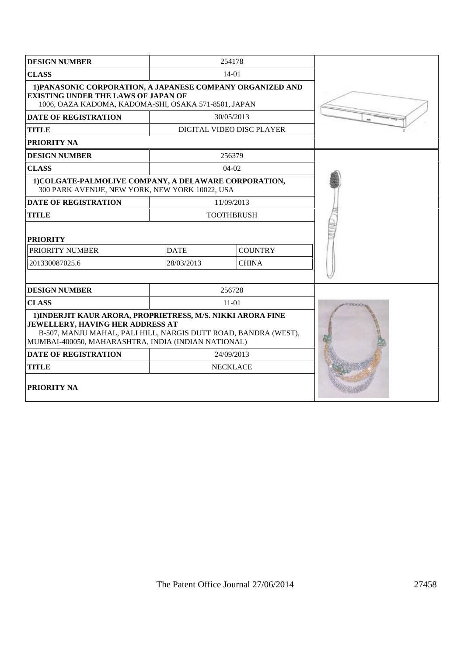| <b>DESIGN NUMBER</b>                                                                                                                                                                                                             |             | 254178                    |  |
|----------------------------------------------------------------------------------------------------------------------------------------------------------------------------------------------------------------------------------|-------------|---------------------------|--|
| <b>CLASS</b>                                                                                                                                                                                                                     |             | 14-01                     |  |
| 1) PANASONIC CORPORATION, A JAPANESE COMPANY ORGANIZED AND<br><b>EXISTING UNDER THE LAWS OF JAPAN OF</b><br>1006, OAZA KADOMA, KADOMA-SHI, OSAKA 571-8501, JAPAN                                                                 |             |                           |  |
| <b>DATE OF REGISTRATION</b>                                                                                                                                                                                                      |             | 30/05/2013                |  |
| <b>TITLE</b>                                                                                                                                                                                                                     |             | DIGITAL VIDEO DISC PLAYER |  |
| PRIORITY NA                                                                                                                                                                                                                      |             |                           |  |
| <b>DESIGN NUMBER</b>                                                                                                                                                                                                             |             | 256379                    |  |
| <b>CLASS</b>                                                                                                                                                                                                                     |             | $04-02$                   |  |
| 1) COLGATE-PALMOLIVE COMPANY, A DELAWARE CORPORATION,<br>300 PARK AVENUE, NEW YORK, NEW YORK 10022, USA                                                                                                                          |             |                           |  |
| <b>DATE OF REGISTRATION</b>                                                                                                                                                                                                      |             | 11/09/2013                |  |
| <b>TITLE</b>                                                                                                                                                                                                                     |             | <b>TOOTHBRUSH</b>         |  |
| <b>PRIORITY</b>                                                                                                                                                                                                                  |             |                           |  |
| PRIORITY NUMBER                                                                                                                                                                                                                  | <b>DATE</b> | <b>COUNTRY</b>            |  |
| 201330087025.6                                                                                                                                                                                                                   | 28/03/2013  | <b>CHINA</b>              |  |
|                                                                                                                                                                                                                                  |             |                           |  |
| <b>DESIGN NUMBER</b>                                                                                                                                                                                                             |             | 256728                    |  |
| <b>CLASS</b>                                                                                                                                                                                                                     |             | $11 - 01$                 |  |
| 1) INDERJIT KAUR ARORA, PROPRIETRESS, M/S. NIKKI ARORA FINE<br><b>JEWELLERY, HAVING HER ADDRESS AT</b><br>B-507, MANJU MAHAL, PALI HILL, NARGIS DUTT ROAD, BANDRA (WEST),<br>MUMBAI-400050, MAHARASHTRA, INDIA (INDIAN NATIONAL) |             |                           |  |
| <b>DATE OF REGISTRATION</b>                                                                                                                                                                                                      |             | 24/09/2013                |  |
| <b>TITLE</b>                                                                                                                                                                                                                     |             | <b>NECKLACE</b>           |  |
| <b>PRIORITY NA</b>                                                                                                                                                                                                               |             |                           |  |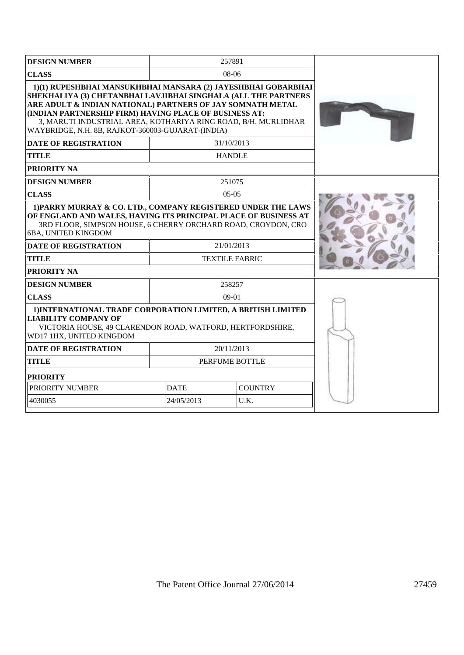| <b>DESIGN NUMBER</b>                                                                                                                                                                                                                                                                                                                                                           | 257891                        |                                     |  |
|--------------------------------------------------------------------------------------------------------------------------------------------------------------------------------------------------------------------------------------------------------------------------------------------------------------------------------------------------------------------------------|-------------------------------|-------------------------------------|--|
| <b>CLASS</b>                                                                                                                                                                                                                                                                                                                                                                   |                               | 08-06                               |  |
| 1)(1) RUPESHBHAI MANSUKHBHAI MANSARA (2) JAYESHBHAI GOBARBHAI<br>SHEKHALIYA (3) CHETANBHAI LAVJIBHAI SINGHALA (ALL THE PARTNERS<br>ARE ADULT & INDIAN NATIONAL) PARTNERS OF JAY SOMNATH METAL<br>(INDIAN PARTNERSHIP FIRM) HAVING PLACE OF BUSINESS AT:<br>3, MARUTI INDUSTRIAL AREA, KOTHARIYA RING ROAD, B/H. MURLIDHAR<br>WAYBRIDGE, N.H. 8B, RAJKOT-360003-GUJARAT-(INDIA) |                               |                                     |  |
| <b>DATE OF REGISTRATION</b>                                                                                                                                                                                                                                                                                                                                                    |                               | 31/10/2013                          |  |
| <b>TITLE</b>                                                                                                                                                                                                                                                                                                                                                                   |                               | <b>HANDLE</b>                       |  |
| <b>PRIORITY NA</b>                                                                                                                                                                                                                                                                                                                                                             |                               |                                     |  |
| <b>DESIGN NUMBER</b>                                                                                                                                                                                                                                                                                                                                                           |                               | 251075                              |  |
| <b>CLASS</b>                                                                                                                                                                                                                                                                                                                                                                   |                               | $05-05$                             |  |
| 1) PARRY MURRAY & CO. LTD., COMPANY REGISTERED UNDER THE LAWS<br>OF ENGLAND AND WALES, HAVING ITS PRINCIPAL PLACE OF BUSINESS AT<br>3RD FLOOR, SIMPSON HOUSE, 6 CHERRY ORCHARD ROAD, CROYDON, CRO<br>6BA, UNITED KINGDOM<br><b>DATE OF REGISTRATION</b><br><b>TITLE</b><br><b>PRIORITY NA</b>                                                                                  |                               | 21/01/2013<br><b>TEXTILE FABRIC</b> |  |
| <b>DESIGN NUMBER</b>                                                                                                                                                                                                                                                                                                                                                           |                               | 258257                              |  |
| <b>CLASS</b>                                                                                                                                                                                                                                                                                                                                                                   |                               | $09-01$                             |  |
| 1) INTERNATIONAL TRADE CORPORATION LIMITED, A BRITISH LIMITED<br><b>LIABILITY COMPANY OF</b><br>VICTORIA HOUSE, 49 CLARENDON ROAD, WATFORD, HERTFORDSHIRE,<br>WD17 1HX, UNITED KINGDOM                                                                                                                                                                                         |                               |                                     |  |
| <b>DATE OF REGISTRATION</b>                                                                                                                                                                                                                                                                                                                                                    |                               | 20/11/2013                          |  |
| <b>TITLE</b>                                                                                                                                                                                                                                                                                                                                                                   |                               | PERFUME BOTTLE                      |  |
| <b>PRIORITY</b>                                                                                                                                                                                                                                                                                                                                                                |                               |                                     |  |
| PRIORITY NUMBER                                                                                                                                                                                                                                                                                                                                                                | <b>DATE</b><br><b>COUNTRY</b> |                                     |  |
| 4030055                                                                                                                                                                                                                                                                                                                                                                        | 24/05/2013                    | U.K.                                |  |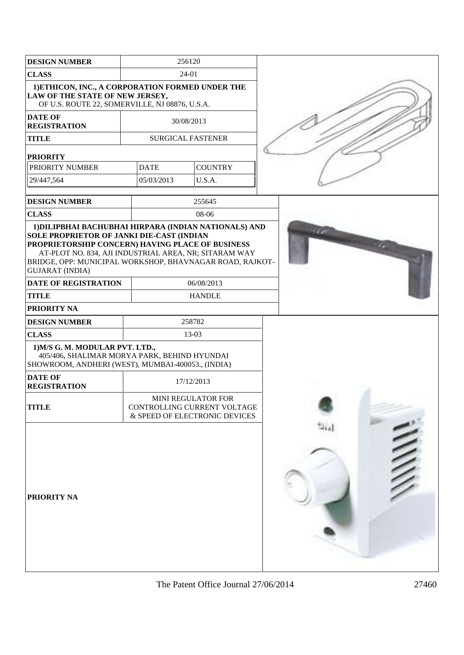| <b>DESIGN NUMBER</b>                                                                                                                                                                                                                                                        |             | 256120                                                                                    |  |
|-----------------------------------------------------------------------------------------------------------------------------------------------------------------------------------------------------------------------------------------------------------------------------|-------------|-------------------------------------------------------------------------------------------|--|
| <b>CLASS</b>                                                                                                                                                                                                                                                                | 24-01       |                                                                                           |  |
| 1) ETHICON, INC., A CORPORATION FORMED UNDER THE<br>LAW OF THE STATE OF NEW JERSEY,<br>OF U.S. ROUTE 22, SOMERVILLE, NJ 08876, U.S.A.                                                                                                                                       |             |                                                                                           |  |
| <b>DATE OF</b><br><b>REGISTRATION</b>                                                                                                                                                                                                                                       |             | 30/08/2013                                                                                |  |
| <b>TITLE</b>                                                                                                                                                                                                                                                                |             | <b>SURGICAL FASTENER</b>                                                                  |  |
| <b>PRIORITY</b>                                                                                                                                                                                                                                                             |             |                                                                                           |  |
| PRIORITY NUMBER                                                                                                                                                                                                                                                             | <b>DATE</b> | <b>COUNTRY</b>                                                                            |  |
| 29/447,564                                                                                                                                                                                                                                                                  | 05/03/2013  | U.S.A.                                                                                    |  |
| <b>DESIGN NUMBER</b>                                                                                                                                                                                                                                                        |             | 255645                                                                                    |  |
| <b>CLASS</b>                                                                                                                                                                                                                                                                |             | 08-06                                                                                     |  |
| SOLE PROPRIETOR OF JANKI DIE-CAST (INDIAN<br>PROPRIETORSHIP CONCERN) HAVING PLACE OF BUSINESS<br>AT-PLOT NO. 834, AJI INDUSTRIAL AREA, NR; SITARAM WAY<br>BRIDGE, OPP: MUNICIPAL WORKSHOP, BHAVNAGAR ROAD, RAJKOT-<br><b>GUJARAT (INDIA)</b><br><b>DATE OF REGISTRATION</b> |             | 06/08/2013                                                                                |  |
| <b>TITLE</b>                                                                                                                                                                                                                                                                |             | <b>HANDLE</b>                                                                             |  |
| <b>PRIORITY NA</b>                                                                                                                                                                                                                                                          |             |                                                                                           |  |
| <b>DESIGN NUMBER</b>                                                                                                                                                                                                                                                        |             | 258782                                                                                    |  |
| <b>CLASS</b>                                                                                                                                                                                                                                                                |             | 13-03                                                                                     |  |
| 1) M/S G. M. MODULAR PVT. LTD.,<br>405/406, SHALIMAR MORYA PARK, BEHIND HYUNDAI<br>SHOWROOM, ANDHERI (WEST), MUMBAI-400053., (INDIA)                                                                                                                                        |             |                                                                                           |  |
| <b>DATE OF</b><br><b>REGISTRATION</b>                                                                                                                                                                                                                                       |             | 17/12/2013                                                                                |  |
| <b>TITLE</b>                                                                                                                                                                                                                                                                |             | <b>MINI REGULATOR FOR</b><br>CONTROLLING CURRENT VOLTAGE<br>& SPEED OF ELECTRONIC DEVICES |  |
| <b>PRIORITY NA</b>                                                                                                                                                                                                                                                          |             |                                                                                           |  |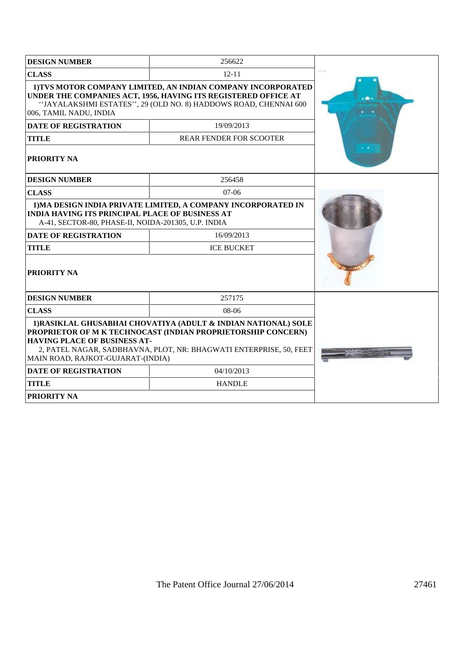| <b>DESIGN NUMBER</b>                                                                                                                                                                                                                                                             | 256622                         |  |
|----------------------------------------------------------------------------------------------------------------------------------------------------------------------------------------------------------------------------------------------------------------------------------|--------------------------------|--|
| <b>CLASS</b>                                                                                                                                                                                                                                                                     | $12 - 11$                      |  |
| 1) TVS MOTOR COMPANY LIMITED, AN INDIAN COMPANY INCORPORATED<br>UNDER THE COMPANIES ACT, 1956, HAVING ITS REGISTERED OFFICE AT<br>"JAYALAKSHMI ESTATES", 29 (OLD NO. 8) HADDOWS ROAD, CHENNAI 600<br>006, TAMIL NADU, INDIA                                                      |                                |  |
| <b>DATE OF REGISTRATION</b>                                                                                                                                                                                                                                                      | 19/09/2013                     |  |
| <b>TITLE</b>                                                                                                                                                                                                                                                                     | <b>REAR FENDER FOR SCOOTER</b> |  |
| <b>PRIORITY NA</b>                                                                                                                                                                                                                                                               |                                |  |
| <b>DESIGN NUMBER</b>                                                                                                                                                                                                                                                             | 256458                         |  |
| <b>CLASS</b>                                                                                                                                                                                                                                                                     | $07-06$                        |  |
| 1) MA DESIGN INDIA PRIVATE LIMITED, A COMPANY INCORPORATED IN<br><b>INDIA HAVING ITS PRINCIPAL PLACE OF BUSINESS AT</b><br>A-41, SECTOR-80, PHASE-II, NOIDA-201305, U.P. INDIA                                                                                                   |                                |  |
| <b>DATE OF REGISTRATION</b>                                                                                                                                                                                                                                                      | 16/09/2013                     |  |
| <b>TITLE</b>                                                                                                                                                                                                                                                                     | <b>ICE BUCKET</b>              |  |
| <b>PRIORITY NA</b>                                                                                                                                                                                                                                                               |                                |  |
| <b>DESIGN NUMBER</b>                                                                                                                                                                                                                                                             | 257175                         |  |
| <b>CLASS</b>                                                                                                                                                                                                                                                                     | $08-06$                        |  |
| 1) RASIKLAL GHUSABHAI CHOVATIYA (ADULT & INDIAN NATIONAL) SOLE<br>PROPRIETOR OF M K TECHNOCAST (INDIAN PROPRIETORSHIP CONCERN)<br><b>HAVING PLACE OF BUSINESS AT-</b><br>2, PATEL NAGAR, SADBHAVNA, PLOT, NR: BHAGWATI ENTERPRISE, 50, FEET<br>MAIN ROAD, RAJKOT-GUJARAT-(INDIA) |                                |  |
| <b>DATE OF REGISTRATION</b>                                                                                                                                                                                                                                                      | 04/10/2013                     |  |
| <b>TITLE</b>                                                                                                                                                                                                                                                                     | <b>HANDLE</b>                  |  |
| <b>PRIORITY NA</b>                                                                                                                                                                                                                                                               |                                |  |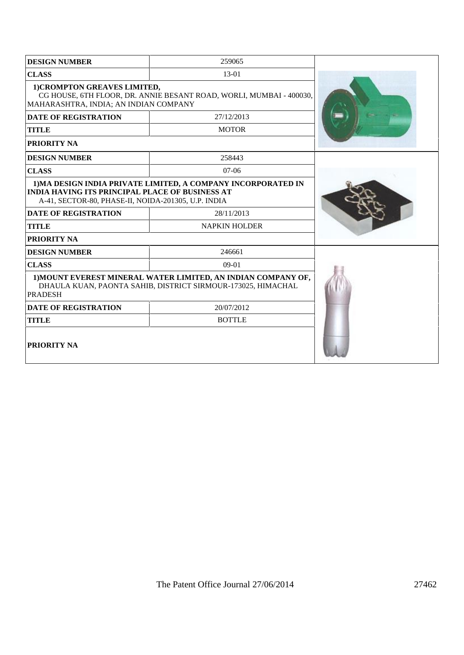| <b>DESIGN NUMBER</b>                                                                                                                            | 259065                                                        |  |
|-------------------------------------------------------------------------------------------------------------------------------------------------|---------------------------------------------------------------|--|
| <b>CLASS</b>                                                                                                                                    | 13-01                                                         |  |
| 1) CROMPTON GREAVES LIMITED,<br>CG HOUSE, 6TH FLOOR, DR. ANNIE BESANT ROAD, WORLI, MUMBAI - 400030,<br>MAHARASHTRA, INDIA; AN INDIAN COMPANY    |                                                               |  |
| <b>DATE OF REGISTRATION</b>                                                                                                                     | 27/12/2013                                                    |  |
| <b>TITLE</b>                                                                                                                                    | <b>MOTOR</b>                                                  |  |
| PRIORITY NA                                                                                                                                     |                                                               |  |
| <b>DESIGN NUMBER</b>                                                                                                                            | 258443                                                        |  |
| <b>CLASS</b>                                                                                                                                    | $07-06$                                                       |  |
| <b>INDIA HAVING ITS PRINCIPAL PLACE OF BUSINESS AT</b><br>A-41, SECTOR-80, PHASE-II, NOIDA-201305, U.P. INDIA                                   | 1) MA DESIGN INDIA PRIVATE LIMITED, A COMPANY INCORPORATED IN |  |
| <b>DATE OF REGISTRATION</b>                                                                                                                     | 28/11/2013                                                    |  |
| <b>TITLE</b>                                                                                                                                    | <b>NAPKIN HOLDER</b>                                          |  |
| PRIORITY NA                                                                                                                                     |                                                               |  |
| <b>DESIGN NUMBER</b>                                                                                                                            | 246661                                                        |  |
| <b>CLASS</b>                                                                                                                                    | $09-01$                                                       |  |
| 1) MOUNT EVEREST MINERAL WATER LIMITED, AN INDIAN COMPANY OF,<br>DHAULA KUAN, PAONTA SAHIB, DISTRICT SIRMOUR-173025, HIMACHAL<br><b>PRADESH</b> |                                                               |  |
| <b>DATE OF REGISTRATION</b>                                                                                                                     | 20/07/2012                                                    |  |
| <b>TITLE</b>                                                                                                                                    | <b>BOTTLE</b>                                                 |  |
| <b>PRIORITY NA</b>                                                                                                                              |                                                               |  |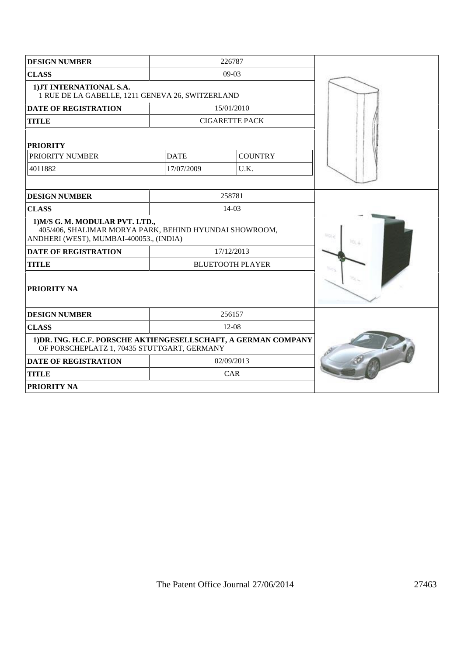| <b>DESIGN NUMBER</b>                                                                                                                 |             | 226787                  |  |
|--------------------------------------------------------------------------------------------------------------------------------------|-------------|-------------------------|--|
| <b>CLASS</b>                                                                                                                         |             | $09-03$                 |  |
| 1) JT INTERNATIONAL S.A.<br>1 RUE DE LA GABELLE, 1211 GENEVA 26, SWITZERLAND                                                         |             |                         |  |
| <b>DATE OF REGISTRATION</b>                                                                                                          |             | 15/01/2010              |  |
| <b>TITLE</b>                                                                                                                         |             | <b>CIGARETTE PACK</b>   |  |
| <b>PRIORITY</b>                                                                                                                      |             |                         |  |
| PRIORITY NUMBER                                                                                                                      | <b>DATE</b> | <b>COUNTRY</b>          |  |
| 4011882                                                                                                                              | 17/07/2009  | U.K.                    |  |
|                                                                                                                                      |             |                         |  |
| <b>DESIGN NUMBER</b>                                                                                                                 |             | 258781                  |  |
| <b>CLASS</b>                                                                                                                         |             | $14-03$                 |  |
| 1) M/S G. M. MODULAR PVT. LTD.,<br>405/406, SHALIMAR MORYA PARK, BEHIND HYUNDAI SHOWROOM,<br>ANDHERI (WEST), MUMBAI-400053., (INDIA) |             |                         |  |
| <b>DATE OF REGISTRATION</b>                                                                                                          |             | 17/12/2013              |  |
| <b>TITLE</b>                                                                                                                         |             | <b>BLUETOOTH PLAYER</b> |  |
| <b>PRIORITY NA</b>                                                                                                                   |             |                         |  |
| <b>DESIGN NUMBER</b>                                                                                                                 |             | 256157                  |  |
| <b>CLASS</b>                                                                                                                         |             | $12-08$                 |  |
| 1) DR. ING. H.C.F. PORSCHE AKTIENGESELLSCHAFT, A GERMAN COMPANY<br>OF PORSCHEPLATZ 1, 70435 STUTTGART, GERMANY                       |             |                         |  |
| <b>DATE OF REGISTRATION</b>                                                                                                          |             | 02/09/2013              |  |
| <b>TITLE</b>                                                                                                                         |             | CAR                     |  |
| <b>PRIORITY NA</b>                                                                                                                   |             |                         |  |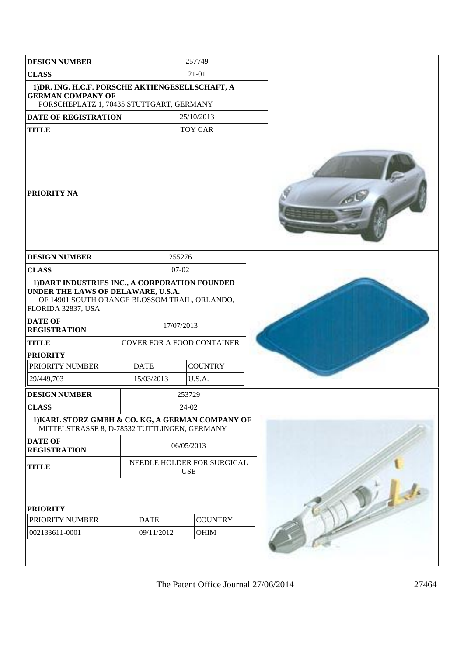| <b>DESIGN NUMBER</b>                                                                                                                                                                                 |                                   | 257749                                   |  |
|------------------------------------------------------------------------------------------------------------------------------------------------------------------------------------------------------|-----------------------------------|------------------------------------------|--|
| <b>CLASS</b>                                                                                                                                                                                         |                                   | 21-01                                    |  |
| 1) DR. ING. H.C.F. PORSCHE AKTIENGESELLSCHAFT, A<br><b>GERMAN COMPANY OF</b><br>PORSCHEPLATZ 1, 70435 STUTTGART, GERMANY                                                                             |                                   |                                          |  |
| <b>DATE OF REGISTRATION</b>                                                                                                                                                                          |                                   | 25/10/2013                               |  |
| <b>TITLE</b>                                                                                                                                                                                         |                                   | <b>TOY CAR</b>                           |  |
| <b>PRIORITY NA</b>                                                                                                                                                                                   |                                   |                                          |  |
| <b>DESIGN NUMBER</b>                                                                                                                                                                                 | 255276                            |                                          |  |
| <b>CLASS</b>                                                                                                                                                                                         | $07 - 02$                         |                                          |  |
| 1) DART INDUSTRIES INC., A CORPORATION FOUNDED<br>UNDER THE LAWS OF DELAWARE, U.S.A.<br>OF 14901 SOUTH ORANGE BLOSSOM TRAIL, ORLANDO,<br>FLORIDA 32837, USA<br><b>DATE OF</b><br><b>REGISTRATION</b> | 17/07/2013                        |                                          |  |
| <b>TITLE</b>                                                                                                                                                                                         | <b>COVER FOR A FOOD CONTAINER</b> |                                          |  |
| <b>PRIORITY</b>                                                                                                                                                                                      |                                   |                                          |  |
| PRIORITY NUMBER                                                                                                                                                                                      | <b>DATE</b>                       | <b>COUNTRY</b>                           |  |
| 29/449,703                                                                                                                                                                                           | 15/03/2013                        | U.S.A.                                   |  |
| <b>DESIGN NUMBER</b>                                                                                                                                                                                 |                                   | 253729                                   |  |
| <b>CLASS</b>                                                                                                                                                                                         |                                   | 24-02                                    |  |
| 1) KARL STORZ GMBH & CO. KG, A GERMAN COMPANY OF<br>MITTELSTRASSE 8, D-78532 TUTTLINGEN, GERMANY                                                                                                     |                                   |                                          |  |
| <b>DATE OF</b><br><b>REGISTRATION</b>                                                                                                                                                                |                                   | 06/05/2013                               |  |
| <b>TITLE</b>                                                                                                                                                                                         |                                   | NEEDLE HOLDER FOR SURGICAL<br><b>USE</b> |  |
| <b>PRIORITY</b>                                                                                                                                                                                      |                                   |                                          |  |
| PRIORITY NUMBER                                                                                                                                                                                      | <b>DATE</b>                       | <b>COUNTRY</b>                           |  |
| 002133611-0001                                                                                                                                                                                       | 09/11/2012                        | OHIM                                     |  |
|                                                                                                                                                                                                      |                                   |                                          |  |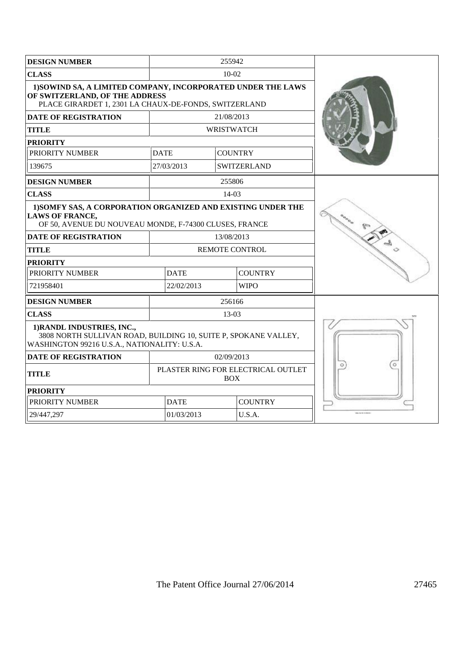| <b>DESIGN NUMBER</b>                                                                                                                                    |                                           | 255942             |  |
|---------------------------------------------------------------------------------------------------------------------------------------------------------|-------------------------------------------|--------------------|--|
| <b>CLASS</b>                                                                                                                                            |                                           | $10-02$            |  |
| 1) SOWIND SA, A LIMITED COMPANY, INCORPORATED UNDER THE LAWS<br>OF SWITZERLAND, OF THE ADDRESS<br>PLACE GIRARDET 1, 2301 LA CHAUX-DE-FONDS, SWITZERLAND |                                           |                    |  |
| <b>DATE OF REGISTRATION</b>                                                                                                                             |                                           | 21/08/2013         |  |
| <b>TITLE</b>                                                                                                                                            |                                           | <b>WRISTWATCH</b>  |  |
| <b>PRIORITY</b>                                                                                                                                         |                                           |                    |  |
| PRIORITY NUMBER                                                                                                                                         | <b>DATE</b>                               | <b>COUNTRY</b>     |  |
| 139675                                                                                                                                                  | 27/03/2013                                | <b>SWITZERLAND</b> |  |
| <b>DESIGN NUMBER</b>                                                                                                                                    |                                           | 255806             |  |
| <b>CLASS</b>                                                                                                                                            |                                           | $14-03$            |  |
| 1) SOMFY SAS, A CORPORATION ORGANIZED AND EXISTING UNDER THE<br><b>LAWS OF FRANCE,</b><br>OF 50, AVENUE DU NOUVEAU MONDE, F-74300 CLUSES, FRANCE        |                                           |                    |  |
| <b>DATE OF REGISTRATION</b>                                                                                                                             | 13/08/2013                                |                    |  |
| <b>TITLE</b>                                                                                                                                            | <b>REMOTE CONTROL</b>                     |                    |  |
| <b>PRIORITY</b>                                                                                                                                         |                                           |                    |  |
| PRIORITY NUMBER                                                                                                                                         | <b>DATE</b><br><b>COUNTRY</b>             |                    |  |
| 721958401                                                                                                                                               | <b>WIPO</b><br>22/02/2013                 |                    |  |
| <b>DESIGN NUMBER</b>                                                                                                                                    |                                           | 256166             |  |
| <b>CLASS</b>                                                                                                                                            |                                           | 13-03              |  |
| 1) RANDL INDUSTRIES, INC.,<br>3808 NORTH SULLIVAN ROAD, BUILDING 10, SUITE P, SPOKANE VALLEY,<br>WASHINGTON 99216 U.S.A., NATIONALITY: U.S.A.           |                                           |                    |  |
| <b>DATE OF REGISTRATION</b>                                                                                                                             |                                           | 02/09/2013         |  |
| <b>TITLE</b>                                                                                                                                            | PLASTER RING FOR ELECTRICAL OUTLET<br>BOX |                    |  |
| <b>PRIORITY</b>                                                                                                                                         |                                           |                    |  |
| PRIORITY NUMBER                                                                                                                                         | <b>DATE</b>                               | <b>COUNTRY</b>     |  |
| 29/447,297                                                                                                                                              | 01/03/2013                                | U.S.A.             |  |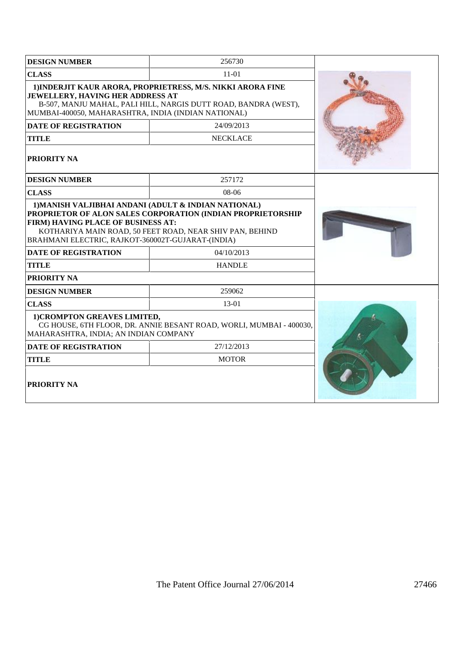| <b>DESIGN NUMBER</b>                                                                                                                                                                                                      | 256730                                                                                                                                |  |  |
|---------------------------------------------------------------------------------------------------------------------------------------------------------------------------------------------------------------------------|---------------------------------------------------------------------------------------------------------------------------------------|--|--|
| <b>CLASS</b>                                                                                                                                                                                                              | 11-01                                                                                                                                 |  |  |
| 1) INDERJIT KAUR ARORA, PROPRIETRESS, M/S. NIKKI ARORA FINE<br>JEWELLERY, HAVING HER ADDRESS AT<br>B-507, MANJU MAHAL, PALI HILL, NARGIS DUTT ROAD, BANDRA (WEST),<br>MUMBAI-400050, MAHARASHTRA, INDIA (INDIAN NATIONAL) |                                                                                                                                       |  |  |
| <b>DATE OF REGISTRATION</b>                                                                                                                                                                                               | 24/09/2013                                                                                                                            |  |  |
| <b>TITLE</b>                                                                                                                                                                                                              | <b>NECKLACE</b>                                                                                                                       |  |  |
| <b>PRIORITY NA</b>                                                                                                                                                                                                        |                                                                                                                                       |  |  |
| <b>DESIGN NUMBER</b>                                                                                                                                                                                                      | 257172                                                                                                                                |  |  |
| <b>CLASS</b>                                                                                                                                                                                                              | 08-06                                                                                                                                 |  |  |
| FIRM) HAVING PLACE OF BUSINESS AT:<br>BRAHMANI ELECTRIC, RAJKOT-360002T-GUJARAT-(INDIA)<br><b>DATE OF REGISTRATION</b>                                                                                                    | PROPRIETOR OF ALON SALES CORPORATION (INDIAN PROPRIETORSHIP<br>KOTHARIYA MAIN ROAD, 50 FEET ROAD, NEAR SHIV PAN, BEHIND<br>04/10/2013 |  |  |
| <b>TITLE</b>                                                                                                                                                                                                              | <b>HANDLE</b>                                                                                                                         |  |  |
| PRIORITY NA                                                                                                                                                                                                               |                                                                                                                                       |  |  |
| <b>DESIGN NUMBER</b>                                                                                                                                                                                                      | 259062                                                                                                                                |  |  |
| <b>CLASS</b>                                                                                                                                                                                                              | $13-01$                                                                                                                               |  |  |
| 1) CROMPTON GREAVES LIMITED,<br>MAHARASHTRA, INDIA; AN INDIAN COMPANY                                                                                                                                                     | CG HOUSE, 6TH FLOOR, DR. ANNIE BESANT ROAD, WORLI, MUMBAI - 400030,                                                                   |  |  |
| <b>DATE OF REGISTRATION</b>                                                                                                                                                                                               | 27/12/2013                                                                                                                            |  |  |
| <b>TITLE</b>                                                                                                                                                                                                              | <b>MOTOR</b>                                                                                                                          |  |  |
| <b>PRIORITY NA</b>                                                                                                                                                                                                        |                                                                                                                                       |  |  |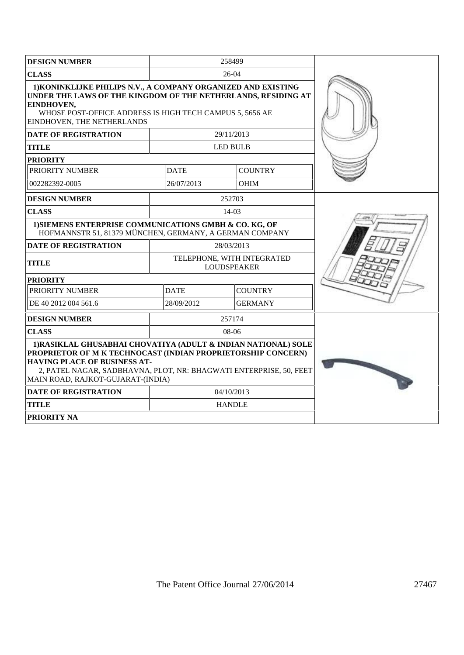| <b>DESIGN NUMBER</b>                                                                                                                                                                                                                                                            |                                                  | 258499          |  |
|---------------------------------------------------------------------------------------------------------------------------------------------------------------------------------------------------------------------------------------------------------------------------------|--------------------------------------------------|-----------------|--|
| <b>CLASS</b>                                                                                                                                                                                                                                                                    |                                                  | $26-04$         |  |
| 1) KONINKLIJKE PHILIPS N.V., A COMPANY ORGANIZED AND EXISTING<br>UNDER THE LAWS OF THE KINGDOM OF THE NETHERLANDS, RESIDING AT<br>EINDHOVEN,<br>WHOSE POST-OFFICE ADDRESS IS HIGH TECH CAMPUS 5, 5656 AE<br>EINDHOVEN, THE NETHERLANDS                                          |                                                  |                 |  |
| <b>DATE OF REGISTRATION</b>                                                                                                                                                                                                                                                     |                                                  | 29/11/2013      |  |
| <b>TITLE</b>                                                                                                                                                                                                                                                                    |                                                  | <b>LED BULB</b> |  |
| <b>PRIORITY</b>                                                                                                                                                                                                                                                                 |                                                  |                 |  |
| PRIORITY NUMBER                                                                                                                                                                                                                                                                 | <b>DATE</b>                                      | <b>COUNTRY</b>  |  |
| 002282392-0005                                                                                                                                                                                                                                                                  | 26/07/2013                                       | <b>OHIM</b>     |  |
| <b>DESIGN NUMBER</b>                                                                                                                                                                                                                                                            |                                                  | 252703          |  |
| <b>CLASS</b>                                                                                                                                                                                                                                                                    |                                                  | 14-03           |  |
| 1) SIEMENS ENTERPRISE COMMUNICATIONS GMBH & CO. KG, OF<br>HOFMANNSTR 51, 81379 MÜNCHEN, GERMANY, A GERMAN COMPANY                                                                                                                                                               |                                                  |                 |  |
| <b>DATE OF REGISTRATION</b>                                                                                                                                                                                                                                                     |                                                  | 28/03/2013      |  |
| <b>TITLE</b>                                                                                                                                                                                                                                                                    | TELEPHONE, WITH INTEGRATED<br><b>LOUDSPEAKER</b> |                 |  |
| <b>PRIORITY</b>                                                                                                                                                                                                                                                                 |                                                  |                 |  |
| PRIORITY NUMBER                                                                                                                                                                                                                                                                 | <b>DATE</b><br><b>COUNTRY</b>                    |                 |  |
| DE 40 2012 004 561.6                                                                                                                                                                                                                                                            | 28/09/2012                                       | <b>GERMANY</b>  |  |
| <b>DESIGN NUMBER</b>                                                                                                                                                                                                                                                            |                                                  | 257174          |  |
| <b>CLASS</b>                                                                                                                                                                                                                                                                    |                                                  | $08-06$         |  |
| 1)RASIKLAL GHUSABHAI CHOVATIYA (ADULT & INDIAN NATIONAL) SOLE<br>PROPRIETOR OF M K TECHNOCAST (INDIAN PROPRIETORSHIP CONCERN)<br><b>HAVING PLACE OF BUSINESS AT-</b><br>2, PATEL NAGAR, SADBHAVNA, PLOT, NR: BHAGWATI ENTERPRISE, 50, FEET<br>MAIN ROAD, RAJKOT-GUJARAT-(INDIA) |                                                  |                 |  |
| <b>DATE OF REGISTRATION</b>                                                                                                                                                                                                                                                     | 04/10/2013                                       |                 |  |
| <b>TITLE</b>                                                                                                                                                                                                                                                                    |                                                  | <b>HANDLE</b>   |  |
| <b>PRIORITY NA</b>                                                                                                                                                                                                                                                              |                                                  |                 |  |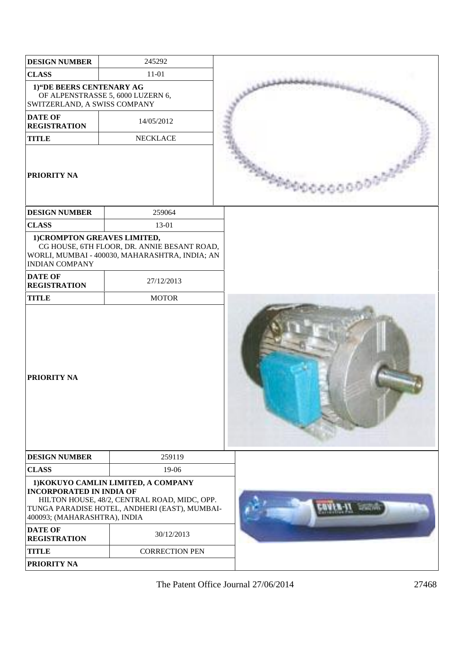| <b>DESIGN NUMBER</b>                                            | 245292                                                                                                                               |  |
|-----------------------------------------------------------------|--------------------------------------------------------------------------------------------------------------------------------------|--|
| <b>CLASS</b>                                                    | $11 - 01$                                                                                                                            |  |
| 1) "DE BEERS CENTENARY AG<br>SWITZERLAND, A SWISS COMPANY       | OF ALPENSTRASSE 5, 6000 LUZERN 6,                                                                                                    |  |
| <b>DATE OF</b><br><b>REGISTRATION</b>                           | 14/05/2012                                                                                                                           |  |
| <b>TITLE</b>                                                    | <b>NECKLACE</b>                                                                                                                      |  |
| <b>PRIORITY NA</b>                                              |                                                                                                                                      |  |
| <b>DESIGN NUMBER</b>                                            | 259064                                                                                                                               |  |
| <b>CLASS</b>                                                    | 13-01                                                                                                                                |  |
| 1) CROMPTON GREAVES LIMITED,<br><b>INDIAN COMPANY</b>           | CG HOUSE, 6TH FLOOR, DR. ANNIE BESANT ROAD,<br>WORLI, MUMBAI - 400030, MAHARASHTRA, INDIA; AN                                        |  |
| <b>DATE OF</b><br><b>REGISTRATION</b>                           | 27/12/2013                                                                                                                           |  |
| <b>TITLE</b>                                                    | <b>MOTOR</b>                                                                                                                         |  |
| <b>PRIORITY NA</b>                                              |                                                                                                                                      |  |
| <b>DESIGN NUMBER</b>                                            | 259119                                                                                                                               |  |
| <b>CLASS</b>                                                    | 19-06                                                                                                                                |  |
| <b>INCORPORATED IN INDIA OF</b><br>400093; (MAHARASHTRA), INDIA | 1) KOKUYO CAMLIN LIMITED, A COMPANY<br>HILTON HOUSE, 48/2, CENTRAL ROAD, MIDC, OPP.<br>TUNGA PARADISE HOTEL, ANDHERI (EAST), MUMBAI- |  |
| <b>DATE OF</b><br><b>REGISTRATION</b>                           | 30/12/2013                                                                                                                           |  |
| <b>TITLE</b>                                                    | <b>CORRECTION PEN</b>                                                                                                                |  |
| PRIORITY NA                                                     |                                                                                                                                      |  |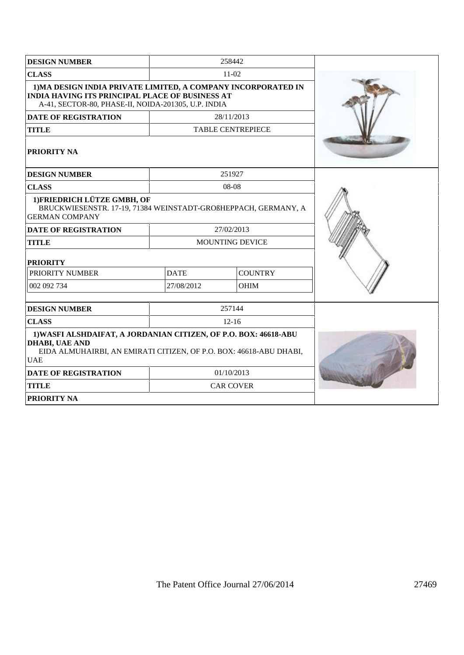| <b>DESIGN NUMBER</b>                                                                                                                                                           |                        | 258442                   |  |
|--------------------------------------------------------------------------------------------------------------------------------------------------------------------------------|------------------------|--------------------------|--|
| <b>CLASS</b>                                                                                                                                                                   |                        | $11-02$                  |  |
| 1) MA DESIGN INDIA PRIVATE LIMITED, A COMPANY INCORPORATED IN<br><b>INDIA HAVING ITS PRINCIPAL PLACE OF BUSINESS AT</b><br>A-41, SECTOR-80, PHASE-II, NOIDA-201305, U.P. INDIA |                        |                          |  |
| <b>DATE OF REGISTRATION</b>                                                                                                                                                    |                        | 28/11/2013               |  |
| <b>TITLE</b>                                                                                                                                                                   |                        | <b>TABLE CENTREPIECE</b> |  |
| <b>PRIORITY NA</b>                                                                                                                                                             |                        |                          |  |
| <b>DESIGN NUMBER</b>                                                                                                                                                           |                        | 251927                   |  |
| <b>CLASS</b>                                                                                                                                                                   |                        | 08-08                    |  |
| 1) FRIEDRICH LÜTZE GMBH, OF<br>BRUCKWIESENSTR. 17-19, 71384 WEINSTADT-GROßHEPPACH, GERMANY, A<br><b>GERMAN COMPANY</b>                                                         |                        |                          |  |
| <b>DATE OF REGISTRATION</b>                                                                                                                                                    |                        | 27/02/2013               |  |
| <b>TITLE</b>                                                                                                                                                                   | <b>MOUNTING DEVICE</b> |                          |  |
| <b>PRIORITY</b>                                                                                                                                                                |                        |                          |  |
| PRIORITY NUMBER                                                                                                                                                                | <b>DATE</b>            | <b>COUNTRY</b>           |  |
| 002 092 734                                                                                                                                                                    | 27/08/2012             | <b>OHIM</b>              |  |
| <b>DESIGN NUMBER</b>                                                                                                                                                           |                        | 257144                   |  |
| <b>CLASS</b>                                                                                                                                                                   |                        | $12 - 16$                |  |
| 1) WASFI ALSHDAIFAT, A JORDANIAN CITIZEN, OF P.O. BOX: 46618-ABU<br><b>DHABI, UAE AND</b><br>EIDA ALMUHAIRBI, AN EMIRATI CITIZEN, OF P.O. BOX: 46618-ABU DHABI,<br><b>UAE</b>  |                        |                          |  |
| <b>DATE OF REGISTRATION</b>                                                                                                                                                    |                        | 01/10/2013               |  |
| <b>TITLE</b>                                                                                                                                                                   |                        | <b>CAR COVER</b>         |  |
| <b>PRIORITY NA</b>                                                                                                                                                             |                        |                          |  |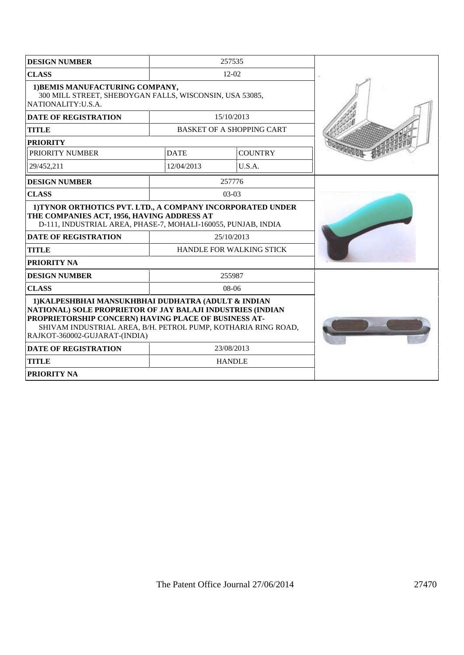| <b>DESIGN NUMBER</b>                                                                                                                                                                                                                                                        | 257535                   |                                  |  |
|-----------------------------------------------------------------------------------------------------------------------------------------------------------------------------------------------------------------------------------------------------------------------------|--------------------------|----------------------------------|--|
| <b>CLASS</b>                                                                                                                                                                                                                                                                |                          | $12 - 02$                        |  |
| 1) BEMIS MANUFACTURING COMPANY,<br>300 MILL STREET, SHEBOYGAN FALLS, WISCONSIN, USA 53085,<br>NATIONALITY: U.S.A.                                                                                                                                                           |                          |                                  |  |
| <b>DATE OF REGISTRATION</b>                                                                                                                                                                                                                                                 |                          | 15/10/2013                       |  |
| <b>TITLE</b>                                                                                                                                                                                                                                                                |                          | <b>BASKET OF A SHOPPING CART</b> |  |
| <b>PRIORITY</b>                                                                                                                                                                                                                                                             |                          |                                  |  |
| <b>PRIORITY NUMBER</b>                                                                                                                                                                                                                                                      | <b>DATE</b>              | <b>COUNTRY</b>                   |  |
| 29/452.211                                                                                                                                                                                                                                                                  | 12/04/2013               | U.S.A.                           |  |
| <b>DESIGN NUMBER</b>                                                                                                                                                                                                                                                        |                          | 257776                           |  |
| <b>CLASS</b>                                                                                                                                                                                                                                                                |                          | 03-03                            |  |
| 1) TYNOR ORTHOTICS PVT. LTD., A COMPANY INCORPORATED UNDER<br>THE COMPANIES ACT, 1956, HAVING ADDRESS AT<br>D-111, INDUSTRIAL AREA, PHASE-7, MOHALI-160055, PUNJAB, INDIA                                                                                                   |                          |                                  |  |
| <b>DATE OF REGISTRATION</b>                                                                                                                                                                                                                                                 | 25/10/2013               |                                  |  |
| <b>TITLE</b>                                                                                                                                                                                                                                                                | HANDLE FOR WALKING STICK |                                  |  |
| <b>PRIORITY NA</b>                                                                                                                                                                                                                                                          |                          |                                  |  |
| <b>DESIGN NUMBER</b>                                                                                                                                                                                                                                                        |                          | 255987                           |  |
| <b>CLASS</b>                                                                                                                                                                                                                                                                |                          | $08-06$                          |  |
| 1) KALPESHBHAI MANSUKHBHAI DUDHATRA (ADULT & INDIAN<br>NATIONAL) SOLE PROPRIETOR OF JAY BALAJI INDUSTRIES (INDIAN<br>PROPRIETORSHIP CONCERN) HAVING PLACE OF BUSINESS AT-<br>SHIVAM INDUSTRIAL AREA, B/H. PETROL PUMP, KOTHARIA RING ROAD,<br>RAJKOT-360002-GUJARAT-(INDIA) |                          |                                  |  |
| <b>DATE OF REGISTRATION</b>                                                                                                                                                                                                                                                 | 23/08/2013               |                                  |  |
| <b>TITLE</b>                                                                                                                                                                                                                                                                | <b>HANDLE</b>            |                                  |  |
| <b>PRIORITY NA</b>                                                                                                                                                                                                                                                          |                          |                                  |  |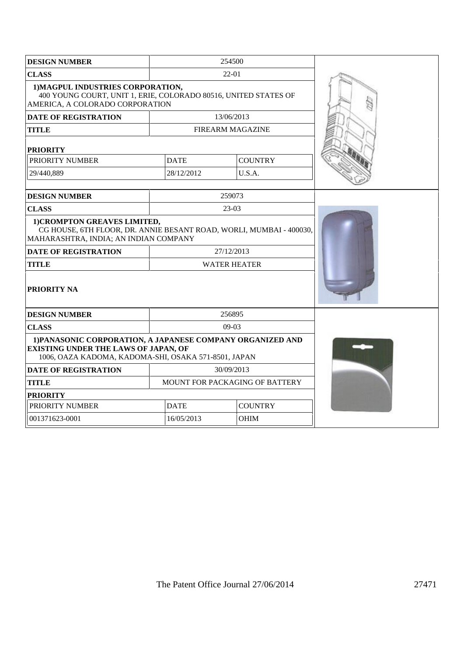| <b>DESIGN NUMBER</b>                                                                                                                                              | 254500                         |                         |  |
|-------------------------------------------------------------------------------------------------------------------------------------------------------------------|--------------------------------|-------------------------|--|
| <b>CLASS</b>                                                                                                                                                      |                                | 22-01                   |  |
| 1) MAGPUL INDUSTRIES CORPORATION,<br>400 YOUNG COURT, UNIT 1, ERIE, COLORADO 80516, UNITED STATES OF<br>AMERICA, A COLORADO CORPORATION                           |                                |                         |  |
| <b>DATE OF REGISTRATION</b>                                                                                                                                       |                                | 13/06/2013              |  |
| <b>TITLE</b>                                                                                                                                                      |                                | <b>FIREARM MAGAZINE</b> |  |
| <b>PRIORITY</b>                                                                                                                                                   |                                |                         |  |
| PRIORITY NUMBER                                                                                                                                                   | <b>DATE</b>                    | <b>COUNTRY</b>          |  |
| 29/440,889                                                                                                                                                        | 28/12/2012                     | U.S.A.                  |  |
|                                                                                                                                                                   |                                |                         |  |
| <b>DESIGN NUMBER</b>                                                                                                                                              |                                | 259073                  |  |
| <b>CLASS</b>                                                                                                                                                      |                                | $23-03$                 |  |
| 1) CROMPTON GREAVES LIMITED,<br>CG HOUSE, 6TH FLOOR, DR. ANNIE BESANT ROAD, WORLI, MUMBAI - 400030,<br>MAHARASHTRA, INDIA; AN INDIAN COMPANY                      |                                |                         |  |
| <b>DATE OF REGISTRATION</b>                                                                                                                                       |                                | 27/12/2013              |  |
| <b>TITLE</b>                                                                                                                                                      | <b>WATER HEATER</b>            |                         |  |
| PRIORITY NA                                                                                                                                                       |                                |                         |  |
| <b>DESIGN NUMBER</b>                                                                                                                                              |                                | 256895                  |  |
| <b>CLASS</b>                                                                                                                                                      |                                | 09-03                   |  |
| 1) PANASONIC CORPORATION, A JAPANESE COMPANY ORGANIZED AND<br><b>EXISTING UNDER THE LAWS OF JAPAN, OF</b><br>1006, OAZA KADOMA, KADOMA-SHI, OSAKA 571-8501, JAPAN |                                |                         |  |
| <b>DATE OF REGISTRATION</b>                                                                                                                                       |                                | 30/09/2013              |  |
| <b>TITLE</b>                                                                                                                                                      | MOUNT FOR PACKAGING OF BATTERY |                         |  |
| <b>PRIORITY</b>                                                                                                                                                   |                                |                         |  |
| PRIORITY NUMBER                                                                                                                                                   | <b>DATE</b><br><b>COUNTRY</b>  |                         |  |
| 001371623-0001                                                                                                                                                    | 16/05/2013                     | <b>OHIM</b>             |  |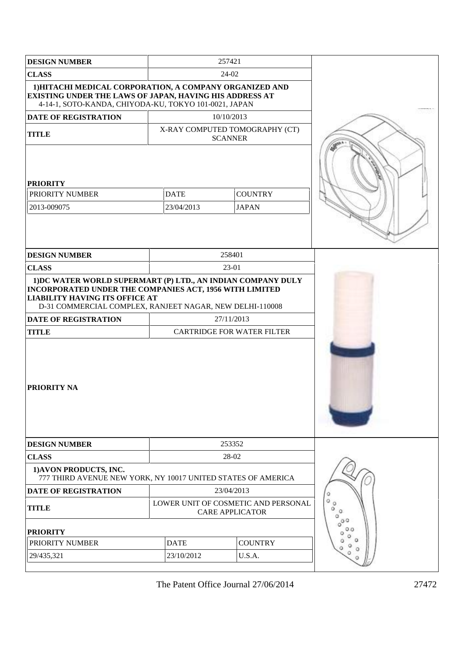| <b>DESIGN NUMBER</b>                                                                                                                                                        | 257421                                                        |                                                  |                     |
|-----------------------------------------------------------------------------------------------------------------------------------------------------------------------------|---------------------------------------------------------------|--------------------------------------------------|---------------------|
| <b>CLASS</b>                                                                                                                                                                | 24-02                                                         |                                                  |                     |
| 1) HITACHI MEDICAL CORPORATION, A COMPANY ORGANIZED AND<br>EXISTING UNDER THE LAWS OF JAPAN, HAVING HIS ADDRESS AT<br>4-14-1, SOTO-KANDA, CHIYODA-KU, TOKYO 101-0021, JAPAN |                                                               |                                                  |                     |
| <b>DATE OF REGISTRATION</b>                                                                                                                                                 |                                                               | 10/10/2013                                       |                     |
| <b>TITLE</b>                                                                                                                                                                |                                                               | X-RAY COMPUTED TOMOGRAPHY (CT)<br><b>SCANNER</b> |                     |
| <b>PRIORITY</b><br>PRIORITY NUMBER<br>2013-009075                                                                                                                           | <b>DATE</b><br>23/04/2013                                     | <b>COUNTRY</b><br><b>JAPAN</b>                   |                     |
| <b>DESIGN NUMBER</b>                                                                                                                                                        |                                                               | 258401                                           |                     |
| <b>CLASS</b>                                                                                                                                                                |                                                               | 23-01                                            |                     |
|                                                                                                                                                                             | 1) DC WATER WORLD SUPERMART (P) LTD., AN INDIAN COMPANY DULY  |                                                  |                     |
| INCORPORATED UNDER THE COMPANIES ACT, 1956 WITH LIMITED<br><b>LIABILITY HAVING ITS OFFICE AT</b><br>D-31 COMMERCIAL COMPLEX, RANJEET NAGAR, NEW DELHI-110008                |                                                               |                                                  |                     |
| DATE OF REGISTRATION                                                                                                                                                        | 27/11/2013                                                    |                                                  |                     |
| <b>TITLE</b>                                                                                                                                                                |                                                               | <b>CARTRIDGE FOR WATER FILTER</b>                |                     |
| <b>PRIORITY NA</b>                                                                                                                                                          |                                                               |                                                  |                     |
| <b>DESIGN NUMBER</b>                                                                                                                                                        |                                                               | 253352                                           |                     |
| <b>CLASS</b>                                                                                                                                                                |                                                               | 28-02                                            |                     |
| 1) AVON PRODUCTS, INC.<br>777 THIRD AVENUE NEW YORK, NY 10017 UNITED STATES OF AMERICA                                                                                      |                                                               |                                                  |                     |
| <b>DATE OF REGISTRATION</b>                                                                                                                                                 | 23/04/2013                                                    |                                                  |                     |
| <b>TITLE</b>                                                                                                                                                                | LOWER UNIT OF COSMETIC AND PERSONAL<br><b>CARE APPLICATOR</b> |                                                  | $\alpha$<br>Ö.<br>a |
| <b>PRIORITY</b>                                                                                                                                                             |                                                               |                                                  |                     |
| PRIORITY NUMBER                                                                                                                                                             | <b>COUNTRY</b><br><b>DATE</b>                                 |                                                  |                     |
| 29/435,321                                                                                                                                                                  | 23/10/2012<br>U.S.A.                                          |                                                  |                     |
|                                                                                                                                                                             |                                                               |                                                  |                     |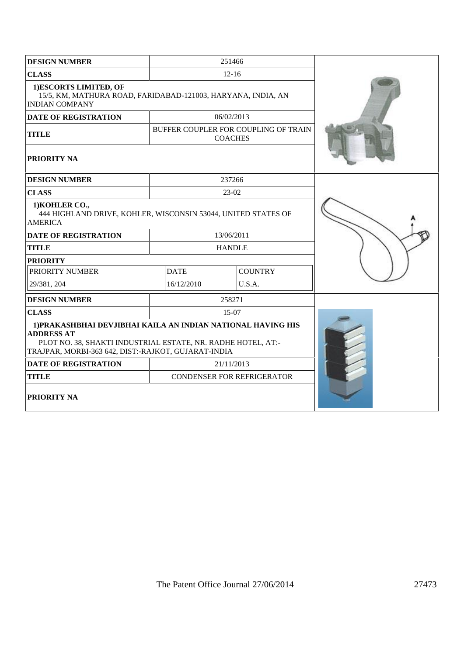| <b>DESIGN NUMBER</b>                                                                                                                                                                                     |               | 251466                                                 |  |
|----------------------------------------------------------------------------------------------------------------------------------------------------------------------------------------------------------|---------------|--------------------------------------------------------|--|
| <b>CLASS</b>                                                                                                                                                                                             |               | $12-16$                                                |  |
| 1)ESCORTS LIMITED, OF<br>15/5, KM, MATHURA ROAD, FARIDABAD-121003, HARYANA, INDIA, AN<br><b>INDIAN COMPANY</b>                                                                                           |               |                                                        |  |
| <b>DATE OF REGISTRATION</b>                                                                                                                                                                              |               | 06/02/2013                                             |  |
| <b>TITLE</b>                                                                                                                                                                                             |               | BUFFER COUPLER FOR COUPLING OF TRAIN<br><b>COACHES</b> |  |
| <b>PRIORITY NA</b>                                                                                                                                                                                       |               |                                                        |  |
| <b>DESIGN NUMBER</b>                                                                                                                                                                                     |               | 237266                                                 |  |
| <b>CLASS</b>                                                                                                                                                                                             |               | 23-02                                                  |  |
| 1) KOHLER CO.,<br>444 HIGHLAND DRIVE, KOHLER, WISCONSIN 53044, UNITED STATES OF<br><b>AMERICA</b>                                                                                                        |               |                                                        |  |
| <b>DATE OF REGISTRATION</b>                                                                                                                                                                              |               | 13/06/2011                                             |  |
| <b>TITLE</b>                                                                                                                                                                                             | <b>HANDLE</b> |                                                        |  |
| <b>PRIORITY</b>                                                                                                                                                                                          |               |                                                        |  |
| PRIORITY NUMBER                                                                                                                                                                                          | <b>DATE</b>   | <b>COUNTRY</b>                                         |  |
| 29/381, 204                                                                                                                                                                                              | 16/12/2010    | U.S.A.                                                 |  |
| <b>DESIGN NUMBER</b>                                                                                                                                                                                     |               | 258271                                                 |  |
| <b>CLASS</b>                                                                                                                                                                                             |               | 15-07                                                  |  |
| 1) PRAKASHBHAI DEVJIBHAI KAILA AN INDIAN NATIONAL HAVING HIS<br><b>ADDRESS AT</b><br>PLOT NO. 38, SHAKTI INDUSTRIAL ESTATE, NR. RADHE HOTEL, AT:-<br>TRAJPAR, MORBI-363 642, DIST:-RAJKOT, GUJARAT-INDIA |               |                                                        |  |
| <b>DATE OF REGISTRATION</b>                                                                                                                                                                              | 21/11/2013    |                                                        |  |
| <b>TITLE</b>                                                                                                                                                                                             |               | CONDENSER FOR REFRIGERATOR                             |  |
| <b>PRIORITY NA</b>                                                                                                                                                                                       |               |                                                        |  |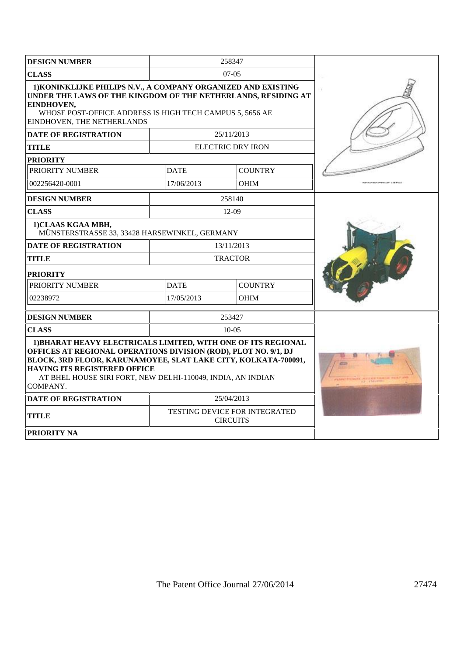| <b>DESIGN NUMBER</b>                                                                                                                                                                                                                                                                                          |             | 258347                                           |  |
|---------------------------------------------------------------------------------------------------------------------------------------------------------------------------------------------------------------------------------------------------------------------------------------------------------------|-------------|--------------------------------------------------|--|
| <b>CLASS</b>                                                                                                                                                                                                                                                                                                  |             | $07-05$                                          |  |
| 1) KONINKLIJKE PHILIPS N.V., A COMPANY ORGANIZED AND EXISTING<br>UNDER THE LAWS OF THE KINGDOM OF THE NETHERLANDS, RESIDING AT<br>EINDHOVEN,<br>WHOSE POST-OFFICE ADDRESS IS HIGH TECH CAMPUS 5, 5656 AE<br>EINDHOVEN, THE NETHERLANDS                                                                        |             |                                                  |  |
| <b>DATE OF REGISTRATION</b>                                                                                                                                                                                                                                                                                   |             | 25/11/2013                                       |  |
| <b>TITLE</b>                                                                                                                                                                                                                                                                                                  |             | <b>ELECTRIC DRY IRON</b>                         |  |
| <b>PRIORITY</b>                                                                                                                                                                                                                                                                                               |             |                                                  |  |
| PRIORITY NUMBER                                                                                                                                                                                                                                                                                               | <b>DATE</b> | <b>COUNTRY</b>                                   |  |
| 002256420-0001                                                                                                                                                                                                                                                                                                | 17/06/2013  | <b>OHIM</b>                                      |  |
| <b>DESIGN NUMBER</b>                                                                                                                                                                                                                                                                                          |             | 258140                                           |  |
| <b>CLASS</b>                                                                                                                                                                                                                                                                                                  |             | $12-09$                                          |  |
| 1)CLAAS KGAA MBH,<br>MÜNSTERSTRASSE 33, 33428 HARSEWINKEL, GERMANY                                                                                                                                                                                                                                            |             |                                                  |  |
| <b>DATE OF REGISTRATION</b>                                                                                                                                                                                                                                                                                   |             | 13/11/2013                                       |  |
| <b>TITLE</b>                                                                                                                                                                                                                                                                                                  |             | <b>TRACTOR</b>                                   |  |
| <b>PRIORITY</b>                                                                                                                                                                                                                                                                                               |             |                                                  |  |
| PRIORITY NUMBER                                                                                                                                                                                                                                                                                               | <b>DATE</b> | <b>COUNTRY</b>                                   |  |
| 17/05/2013<br><b>OHIM</b><br>02238972                                                                                                                                                                                                                                                                         |             |                                                  |  |
| <b>DESIGN NUMBER</b>                                                                                                                                                                                                                                                                                          |             | 253427                                           |  |
| <b>CLASS</b>                                                                                                                                                                                                                                                                                                  |             | $10-0.5$                                         |  |
| 1) BHARAT HEAVY ELECTRICALS LIMITED, WITH ONE OF ITS REGIONAL<br>OFFICES AT REGIONAL OPERATIONS DIVISION (ROD), PLOT NO. 9/1, DJ<br>BLOCK, 3RD FLOOR, KARUNAMOYEE, SLAT LAKE CITY, KOLKATA-700091,<br>HAVING ITS REGISTERED OFFICE<br>AT BHEL HOUSE SIRI FORT, NEW DELHI-110049, INDIA, AN INDIAN<br>COMPANY. |             |                                                  |  |
| <b>DATE OF REGISTRATION</b>                                                                                                                                                                                                                                                                                   |             | 25/04/2013                                       |  |
| <b>TITLE</b>                                                                                                                                                                                                                                                                                                  |             | TESTING DEVICE FOR INTEGRATED<br><b>CIRCUITS</b> |  |
| <b>PRIORITY NA</b>                                                                                                                                                                                                                                                                                            |             |                                                  |  |